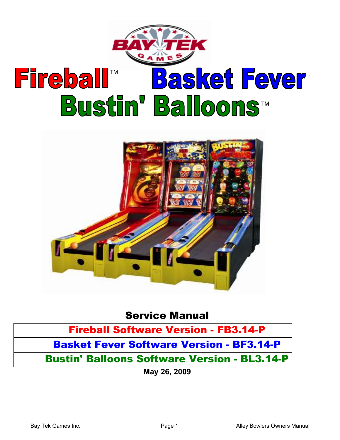

# **Fireball™ Bustin' Balloons**™ **Basket Fever**



## Service Manual

# Fireball Software Version - FB3.14-P

# Basket Fever Software Version - BF3.14-P

# Bustin' Balloons Software Version - BL3.14-P

May 26, 2009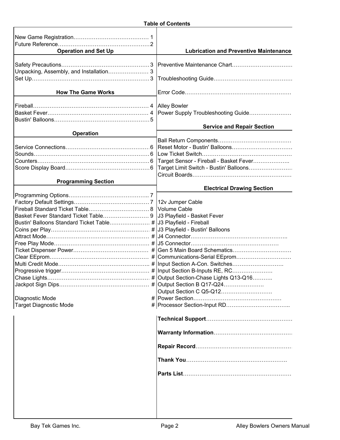| <b>Operation and Set Up</b>                                                    | <b>Lubrication and Preventive Maintenance</b> |
|--------------------------------------------------------------------------------|-----------------------------------------------|
|                                                                                |                                               |
|                                                                                |                                               |
|                                                                                |                                               |
|                                                                                |                                               |
| <b>How The Game Works</b>                                                      |                                               |
|                                                                                |                                               |
|                                                                                |                                               |
|                                                                                |                                               |
|                                                                                |                                               |
|                                                                                | <b>Service and Repair Section</b>             |
| <b>Operation</b>                                                               |                                               |
|                                                                                |                                               |
|                                                                                |                                               |
|                                                                                |                                               |
|                                                                                |                                               |
|                                                                                |                                               |
|                                                                                |                                               |
| <b>Programming Section</b>                                                     | <b>Electrical Drawing Section</b>             |
|                                                                                |                                               |
|                                                                                |                                               |
|                                                                                |                                               |
| Basket Fever Standard Ticket Table 9 JJ3 Playfield - Basket Fever              |                                               |
| Bustin' Balloons Standard Ticket Table # J3 Playfield - Fireball               |                                               |
|                                                                                |                                               |
|                                                                                |                                               |
| Free Play Mode………………………………………………… #   J5 Connector…………………………………………             |                                               |
|                                                                                |                                               |
|                                                                                |                                               |
| Multi Credit Mode……………………………………………… #  Input Section A-Con. Switches………………………… |                                               |
|                                                                                |                                               |
|                                                                                |                                               |
|                                                                                | # Output Section B Q17-Q24                    |
|                                                                                | Output Section C Q5-Q12                       |
| Diagnostic Mode                                                                |                                               |
| Target Diagnostic Mode                                                         |                                               |
|                                                                                |                                               |
|                                                                                |                                               |
|                                                                                |                                               |
|                                                                                |                                               |
|                                                                                |                                               |
|                                                                                |                                               |
|                                                                                |                                               |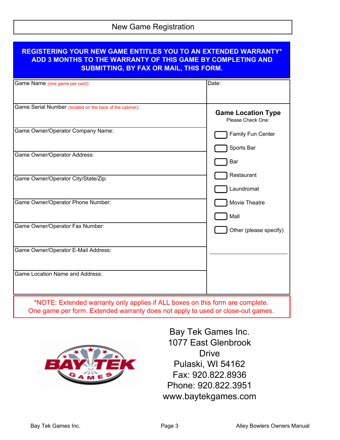## New Game Registration

| <b>REGISTERING YOUR NEW GAME ENTITLES YOU TO AN EXTENDED WARRANTY*</b><br>ADD 3 MONTHS TO THE WARRANTY OF THIS GAME BY COMPLETING AND<br><b>SUBMITTING, BY FAX OR MAIL, THIS FORM.</b> |                                                |
|----------------------------------------------------------------------------------------------------------------------------------------------------------------------------------------|------------------------------------------------|
| Game Name (one game per card):                                                                                                                                                         | Date:                                          |
|                                                                                                                                                                                        |                                                |
| Game Serial Number (located on the back of the cabinet):                                                                                                                               | <b>Game Location Type</b><br>Please Check One: |
| Game Owner/Operator Company Name:                                                                                                                                                      | Family Fun Center                              |
|                                                                                                                                                                                        | Sports Bar                                     |
| Game Owner/Operator Address:                                                                                                                                                           | Bar                                            |
| Game Owner/Operator City/State/Zip:                                                                                                                                                    | Restaurant                                     |
|                                                                                                                                                                                        | Laundromat                                     |
| Game Owner/Operator Phone Number:                                                                                                                                                      | Movie Theatre                                  |
|                                                                                                                                                                                        | Mall                                           |
| Game Owner/Operator Fax Number:                                                                                                                                                        | Other (please specify)                         |
| Game Owner/Operator E-Mail Address:                                                                                                                                                    |                                                |
| <b>Game Location Name and Address:</b>                                                                                                                                                 |                                                |
| *NOTE: Extended warranty only applies if ALL boxes on this form are complete.<br>One game per form. Extended warranty does not apply to used or close-out games.                       |                                                |



Bay Tek Games Inc. 1077 East Glenbrook Drive Pulaski, WI 54162 Fax: 920.822.8936 Phone: 920.822.3951 www.baytekgames.com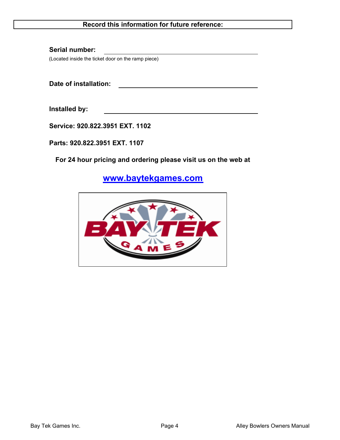#### Record this information for future reference:

Serial number: (Located inside the ticket door on the ramp piece)

Date of installation:

Installed by:

Service: 920.822.3951 EXT. 1102

Parts: 920.822.3951 EXT. 1107

For 24 hour pricing and ordering please visit us on the web at

www.baytekgames.com

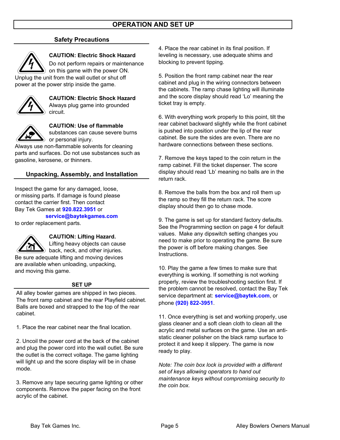#### Safety Precautions



#### CAUTION: Electric Shock Hazard

Do not perform repairs or maintenance

on this game with the power ON. Unplug the unit from the wall outlet or shut off power at the power strip inside the game.



CAUTION: Electric Shock Hazard Always plug game into grounded circuit.



CAUTION: Use of flammable

substances can cause severe burns  $\phi$  or personal injury.

Always use non-flammable solvents for cleaning parts and surfaces. Do not use substances such as gasoline, kerosene, or thinners.

#### Unpacking, Assembly, and Installation

Inspect the game for any damaged, loose, or missing parts. If damage is found please contact the carrier first. Then contact Bay Tek Games at 920.822.3951 or

#### service@baytekgames.com

to order replacement parts.



#### CAUTION: Lifting Hazard.

Lifting heavy objects can cause  $\bullet$  back, neck, and other injuries.

Be sure adequate lifting and moving devices are available when unloading, unpacking, and moving this game.

#### SET UP

All alley bowler games are shipped in two pieces. The front ramp cabinet and the rear Playfield cabinet. Balls are boxed and strapped to the top of the rear cabinet.

1. Place the rear cabinet near the final location.

2. Uncoil the power cord at the back of the cabinet and plug the power cord into the wall outlet. Be sure the outlet is the correct voltage. The game lighting will light up and the score display will be in chase mode.

3. Remove any tape securing game lighting or other components. Remove the paper facing on the front acrylic of the cabinet.

4. Place the rear cabinet in its final position. If leveling is necessary, use adequate shims and blocking to prevent tipping.

5. Position the front ramp cabinet near the rear cabinet and plug in the wiring connectors between the cabinets. The ramp chase lighting will illuminate and the score display should read 'Lo' meaning the ticket tray is empty.

6. With everything work properly to this point, tilt the rear cabinet backward slightly while the front cabinet is pushed into position under the lip of the rear cabinet. Be sure the sides are even. There are no hardware connections between these sections.

7. Remove the keys taped to the coin return in the ramp cabinet. Fill the ticket dispenser. The score display should read 'Lb' meaning no balls are in the return rack.

8. Remove the balls from the box and roll them up the ramp so they fill the return rack. The score display should then go to chase mode.

9. The game is set up for standard factory defaults. See the Programming section on page 4 for default values. Make any dipswitch setting changes you need to make prior to operating the game. Be sure the power is off before making changes. See Instructions.

10. Play the game a few times to make sure that everything is working. If something is not working properly, review the troubleshooting section first. If the problem cannot be resolved, contact the Bay Tek service department at: service@baytek.com, or phone (920) 822-3951.

11. Once everything is set and working properly, use glass cleaner and a soft clean cloth to clean all the acrylic and metal surfaces on the game. Use an antistatic cleaner polisher on the black ramp surface to protect it and keep it slippery. The game is now ready to play.

Note: The coin box lock is provided with a different set of keys allowing operators to hand out maintenance keys without compromising security to the coin box.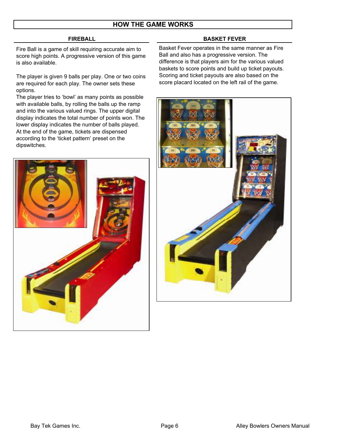#### HOW THE GAME WORKS

#### FIREBALL

Fire Ball is a game of skill requiring accurate aim to score high points. A progressive version of this game is also available.

The player is given 9 balls per play. One or two coins are required for each play. The owner sets these options.

The player tries to 'bowl' as many points as possible with available balls, by rolling the balls up the ramp and into the various valued rings. The upper digital display indicates the total number of points won. The lower display indicates the number of balls played. At the end of the game, tickets are dispensed according to the 'ticket pattern' preset on the dipswitches.

#### BASKET FEVER

Basket Fever operates in the same manner as Fire Ball and also has a progressive version. The difference is that players aim for the various valued baskets to score points and build up ticket payouts. Scoring and ticket payouts are also based on the score placard located on the left rail of the game.

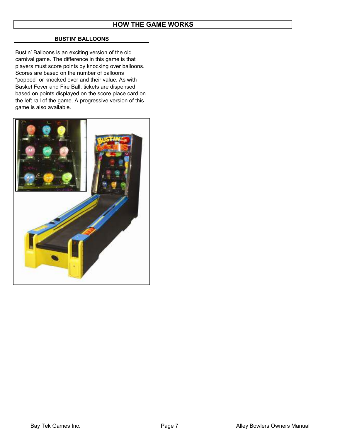#### BUSTIN' BALLOONS

Bustin' Balloons is an exciting version of the old carnival game. The difference in this game is that players must score points by knocking over balloons. Scores are based on the number of balloons "popped" or knocked over and their value. As with Basket Fever and Fire Ball, tickets are dispensed based on points displayed on the score place card on the left rail of the game. A progressive version of this game is also available.

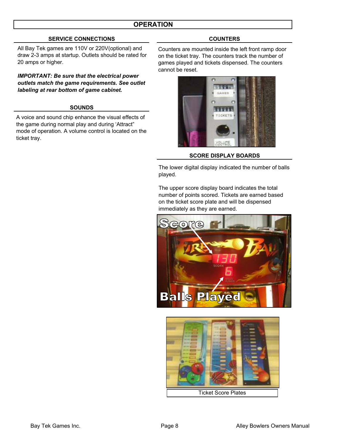#### **OPERATION**

#### SERVICE CONNECTIONS COUNTERS

All Bay Tek games are 110V or 220V(optional) and draw 2-3 amps at startup. Outlets should be rated for 20 amps or higher.

IMPORTANT: Be sure that the electrical power outlets match the game requirements. See outlet labeling at rear bottom of game cabinet.

#### SOUNDS

A voice and sound chip enhance the visual effects of the game during normal play and during 'Attract" mode of operation. A volume control is located on the ticket tray.

Counters are mounted inside the left front ramp door on the ticket tray. The counters track the number of games played and tickets dispensed. The counters cannot be reset.



#### SCORE DISPLAY BOARDS

The lower digital display indicated the number of balls played.

The upper score display board indicates the total number of points scored. Tickets are earned based on the ticket score plate and will be dispensed immediately as they are earned.



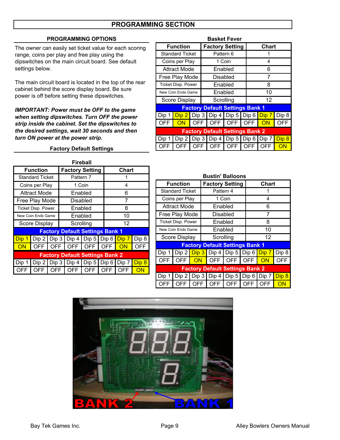#### PROGRAMMING SECTION

#### PROGRAMMING OPTIONS Basket Fever

The owner can easily set ticket value for each scoring range, coins per play and free play using the dipswitches on the main circuit board. See default settings below.

The main circuit board is located in the top of the rear cabinet behind the score display board. Be sure power is off before setting these dipswitches.

IMPORTANT: Power must be OFF to the game when setting dipswitches. Turn OFF the power strip inside the cabinet. Set the dipswitches to the desired settings, wait 30 seconds and then turn ON power at the power strip.

Factory Default Settings

#### **Factory Default Settings Bank 1** Dip 1  $\boxed{\frac{\text{Dip 2}}{\text{Dip 3}}}$  Dip 4  $\boxed{\text{Dip 5}}$  Dip 6  $\boxed{\text{Dip 7}}$  Dip 8 OFF ON OFF OFF OFF OFF ON OFF Factory Default Settings Bank 2 Dip 1 Dip 2 Dip 3 Dip 4 Dip 5 Dip 6 Dip 7 Dip 8 OFF | OFF | OFF | OFF | OFF | OFF <mark>| ON</mark> Function | Factory Setting | Chart Standard Ticket Pattern 6 1 Coins per Play 1 Coin 4 Attract Mode Enabled 6 Free Play Mode Disabled 7 Ticket Disp. Power Enabled 8 New Coin Ends Game Enabled 10 Score Display Scrolling | 12

| Fireball   |                           |            |                                     |                                        |     |  |            |            |       |
|------------|---------------------------|------------|-------------------------------------|----------------------------------------|-----|--|------------|------------|-------|
|            | <b>Function</b>           |            |                                     | <b>Factory Setting</b>                 |     |  |            | Chart      |       |
|            | <b>Standard Ticket</b>    |            |                                     | Pattern 7                              |     |  |            |            |       |
|            | Coins per Play            |            |                                     | 1 Coin                                 |     |  |            | 4          |       |
|            | <b>Attract Mode</b>       |            |                                     | Enabled                                |     |  |            | 6          |       |
|            | Free Play Mode            |            |                                     | Disabled                               |     |  |            | 7          |       |
|            | <b>Ticket Disp. Power</b> |            |                                     | Enabled                                |     |  |            | 8          |       |
|            | New Coin Ends Game        |            | Enabled<br>10                       |                                        |     |  |            |            |       |
|            | Score Display             |            |                                     | Scrolling                              |     |  |            | 12         |       |
|            |                           |            |                                     | <b>Factory Default Settings Bank 1</b> |     |  |            |            |       |
| Dip 1      |                           |            |                                     | Dip 2 Dip 3 Dip 4 Dip 5 Dip 6 Dip 7    |     |  |            |            | Dip 8 |
| ON         |                           |            |                                     | OFF OFF OFF OFF OFF                    |     |  |            | ON         | OFF   |
|            |                           |            |                                     | <b>Factory Default Settings Bank 2</b> |     |  |            |            |       |
| Dip 1      |                           |            | Dip 2 Dip 3 Dip 4 Dip 5 Dip 6 Dip 7 |                                        |     |  |            | Dip 8      |       |
| <b>OFF</b> | OFF.                      | <b>OFF</b> |                                     | OFF                                    | OFF |  | <b>OFF</b> | <b>OFF</b> | ON    |
|            |                           |            |                                     |                                        |     |  |            |            |       |

| <b>Bustin' Balloons</b>                |                           |     |                                                                     |            |            |       |       |  |
|----------------------------------------|---------------------------|-----|---------------------------------------------------------------------|------------|------------|-------|-------|--|
|                                        | <b>Function</b>           |     | <b>Factory Setting</b>                                              |            |            | Chart |       |  |
|                                        | <b>Standard Ticket</b>    |     | Pattern 4                                                           |            |            |       |       |  |
|                                        | Coins per Play            |     |                                                                     | 1 Coin     |            | 4     |       |  |
|                                        | Attract Mode              |     |                                                                     | Enabled    |            | 6     |       |  |
|                                        | Free Play Mode            |     |                                                                     | Disabled   |            | 7     |       |  |
|                                        | <b>Ticket Disp. Power</b> |     |                                                                     | Enabled    |            | 8     |       |  |
|                                        | New Coin Ends Game        |     |                                                                     | Enabled    |            | 10    |       |  |
|                                        | Score Display             |     | Scrolling                                                           |            |            | 12    |       |  |
|                                        |                           |     | <b>Factory Default Settings Bank 1</b>                              |            |            |       |       |  |
| Dip 1                                  | Dip 2                     |     | $\boxed{\text{Dip 3}}$ Dip 4   Dip 5   Dip 6 $\boxed{\text{Dip 7}}$ |            |            |       | Dip 8 |  |
| <b>OFF</b>                             | <b>OFF</b>                | ON  | OFF I                                                               | OFF        | <b>OFF</b> | ON    | OFF   |  |
| <b>Factory Default Settings Bank 2</b> |                           |     |                                                                     |            |            |       |       |  |
| Dip 1                                  | Dip2                      |     | Dip $3$ Dip $4$ Dip $5$ Dip $6$ Dip $7$                             |            |            |       | Dip 8 |  |
|                                        | OFF                       | OFF | <b>OFF</b>                                                          | <b>OFF</b> | <b>OFF</b> | OFF   | ΟN    |  |

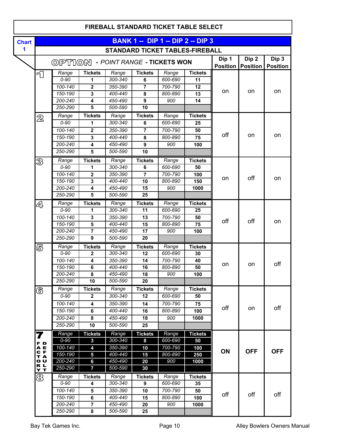|              |                   |                                           |                                |                                        |                         |                    |                                          |                 |                 | <b>FIREBALL STANDARD TICKET TABLE SELECT</b> |  |  |  |  |  |  |  |  |  |
|--------------|-------------------|-------------------------------------------|--------------------------------|----------------------------------------|-------------------------|--------------------|------------------------------------------|-----------------|-----------------|----------------------------------------------|--|--|--|--|--|--|--|--|--|
| <b>Chart</b> |                   |                                           |                                |                                        |                         |                    | <b>BANK 1 -- DIP 1 -- DIP 2 -- DIP 3</b> |                 |                 |                                              |  |  |  |  |  |  |  |  |  |
| 1            |                   |                                           |                                | <b>STANDARD TICKET TABLES-FIREBALL</b> |                         |                    |                                          |                 |                 |                                              |  |  |  |  |  |  |  |  |  |
|              |                   |                                           |                                |                                        |                         |                    |                                          | Dip 1           | Dip 2           | Dip 3                                        |  |  |  |  |  |  |  |  |  |
|              |                   | <b>OPTION - POINT RANGE - TICKETS WON</b> |                                |                                        |                         |                    |                                          | <b>Position</b> | <b>Position</b> | <b>Position</b>                              |  |  |  |  |  |  |  |  |  |
|              | 口                 | Range                                     | <b>Tickets</b>                 | Range                                  | <b>Tickets</b>          | Range              | <b>Tickets</b>                           |                 |                 |                                              |  |  |  |  |  |  |  |  |  |
|              |                   | $0 - 90$                                  | 1                              | 300-340                                | 6                       | 600-690            | 11                                       |                 |                 | <b>on</b>                                    |  |  |  |  |  |  |  |  |  |
|              |                   | 100-140                                   | $\overline{2}$                 | 350-390                                | $\overline{7}$          | 700-790            | 12                                       | on              | on              |                                              |  |  |  |  |  |  |  |  |  |
|              |                   | 150-190                                   | 3                              | 400-440                                | 8                       | 800-890            | 13                                       |                 |                 |                                              |  |  |  |  |  |  |  |  |  |
|              |                   | 200-240                                   | 4                              | 450-490                                | $\overline{9}$          | 900                | 14                                       |                 |                 |                                              |  |  |  |  |  |  |  |  |  |
|              |                   | 250-290                                   | 5                              | 500-590                                | 10                      |                    |                                          |                 |                 |                                              |  |  |  |  |  |  |  |  |  |
|              | $\mathfrak A$     | Range                                     | <b>Tickets</b>                 | Range                                  | <b>Tickets</b>          | Range              | <b>Tickets</b>                           |                 |                 |                                              |  |  |  |  |  |  |  |  |  |
|              |                   | $0 - 90$                                  | 1                              | 300-340                                | 6                       | 600-690            | 25                                       |                 |                 |                                              |  |  |  |  |  |  |  |  |  |
|              |                   | 100-140                                   | $\overline{2}$                 | 350-390                                | $\overline{7}$          | 700-790            | 50                                       | off             | <b>on</b>       | <b>on</b>                                    |  |  |  |  |  |  |  |  |  |
|              |                   | 150-190                                   | 3                              | 400-440                                | $\overline{\mathbf{8}}$ | 800-890            | 75                                       |                 |                 |                                              |  |  |  |  |  |  |  |  |  |
|              |                   | 200-240                                   | 4                              | 450-490                                | $\overline{9}$          | 900                | 100                                      |                 |                 |                                              |  |  |  |  |  |  |  |  |  |
|              |                   | 250-290                                   | 5                              | 500-590                                | 10                      |                    |                                          |                 |                 |                                              |  |  |  |  |  |  |  |  |  |
|              | B                 | Range                                     | <b>Tickets</b>                 | Range                                  | <b>Tickets</b>          | Range              | <b>Tickets</b>                           |                 |                 |                                              |  |  |  |  |  |  |  |  |  |
|              |                   | $0 - 90$                                  | 1                              | 300-340                                | 6                       | 600-690            | 50                                       |                 |                 | on                                           |  |  |  |  |  |  |  |  |  |
|              |                   | 100-140                                   | $\mathbf{2}$                   | 350-390                                | 7                       | 700-790            | 100                                      | on              | off             |                                              |  |  |  |  |  |  |  |  |  |
|              |                   | 150-190                                   | 3                              | 400-440                                | 10                      | 800-890            | 150                                      |                 |                 |                                              |  |  |  |  |  |  |  |  |  |
|              |                   | 200-240                                   | 4                              | 450-490                                | 15                      | 900                | 1000                                     |                 |                 |                                              |  |  |  |  |  |  |  |  |  |
|              |                   | 250-290                                   | $\overline{5}$                 | 500-590                                | 25                      |                    |                                          |                 |                 |                                              |  |  |  |  |  |  |  |  |  |
|              | 4                 | Range                                     | <b>Tickets</b>                 | Range                                  | <b>Tickets</b>          | Range              | <b>Tickets</b>                           |                 |                 |                                              |  |  |  |  |  |  |  |  |  |
|              |                   | $0 - 90$                                  | 1                              | 300-340                                | 11                      | 600-690            | 25                                       |                 |                 |                                              |  |  |  |  |  |  |  |  |  |
|              |                   | 100-140                                   | 3                              | 350-390                                | 13                      | 700-790            | 50                                       | off             | off             | <b>on</b>                                    |  |  |  |  |  |  |  |  |  |
|              |                   | 150-190                                   | 5                              | 400-440                                | 15                      | 800-890            | 75                                       |                 |                 |                                              |  |  |  |  |  |  |  |  |  |
|              |                   | 200-240                                   | $\overline{7}$                 | 450-490                                | 17                      | 900                | 100                                      |                 |                 |                                              |  |  |  |  |  |  |  |  |  |
|              |                   | 250-290                                   | 9                              | 500-590                                | 20                      |                    |                                          |                 |                 |                                              |  |  |  |  |  |  |  |  |  |
|              | 5                 | Range                                     | <b>Tickets</b>                 | Range                                  | <b>Tickets</b>          | Range              | <b>Tickets</b>                           |                 |                 |                                              |  |  |  |  |  |  |  |  |  |
|              |                   | $0 - 90$                                  | $\mathbf{2}$                   | 300-340                                | 12                      | 600-690            | 30                                       |                 |                 |                                              |  |  |  |  |  |  |  |  |  |
|              |                   | 100-140                                   | 4                              | 350-390                                | 14                      | 700-790            | 40                                       | on              | on              | off                                          |  |  |  |  |  |  |  |  |  |
|              |                   | 150-190                                   | 6                              | 400-440                                | 16                      | 800-890            | 50                                       |                 |                 |                                              |  |  |  |  |  |  |  |  |  |
|              |                   | 200-240<br>250-290                        | 8<br>$\overline{10}$           | 450-490<br>500-590                     | 18<br>20                | 900                | 100                                      |                 |                 |                                              |  |  |  |  |  |  |  |  |  |
|              |                   |                                           |                                |                                        |                         |                    |                                          |                 |                 |                                              |  |  |  |  |  |  |  |  |  |
|              | ே                 | Range<br>$0 - 90$                         | <b>Tickets</b><br>$\mathbf{2}$ | Range<br>300-340                       | <b>Tickets</b><br>12    | Range<br>600-690   | <b>Tickets</b><br>50                     |                 |                 |                                              |  |  |  |  |  |  |  |  |  |
|              |                   |                                           |                                |                                        |                         |                    |                                          |                 |                 |                                              |  |  |  |  |  |  |  |  |  |
|              |                   | 100-140                                   | 4                              | 350-390                                | 14                      | 700-790            | 75                                       | off             | on              | off                                          |  |  |  |  |  |  |  |  |  |
|              |                   | 150-190<br>200-240                        | $\bf 6$                        | 400-440                                | 16                      | 800-890            | 100                                      |                 |                 |                                              |  |  |  |  |  |  |  |  |  |
|              |                   |                                           | 8                              | 450-490                                | 18                      | 900                | 1000                                     |                 |                 |                                              |  |  |  |  |  |  |  |  |  |
|              |                   | 250-290                                   | 10                             | 500-590                                | 25                      |                    |                                          |                 |                 |                                              |  |  |  |  |  |  |  |  |  |
|              | 7                 | Range                                     | <b>Tickets</b>                 | Range                                  | <b>Tickets</b>          | Range              | <b>Tickets</b>                           |                 |                 |                                              |  |  |  |  |  |  |  |  |  |
|              | F D               | $0 - 90$                                  | $\mathbf{3}$                   | 300-340                                | 8                       | 600-690            | 50                                       |                 |                 |                                              |  |  |  |  |  |  |  |  |  |
|              | A E<br>C F<br>T A | $100 - 140$<br>150-190                    | 4<br>5                         | 350-390<br>400-440                     | 10                      | 700-790<br>800-890 | 100                                      | ON              | <b>OFF</b>      | <b>OFF</b>                                   |  |  |  |  |  |  |  |  |  |
|              | o u               | 200-240                                   | $6\phantom{a}$                 | 450-490                                | 15<br>20                | 900                | 250<br>1000                              |                 |                 |                                              |  |  |  |  |  |  |  |  |  |
|              | RL<br>YT          | 250-290                                   | $\overline{7}$                 | 500-590                                | 30                      |                    |                                          |                 |                 |                                              |  |  |  |  |  |  |  |  |  |
|              |                   | Range                                     | <b>Tickets</b>                 |                                        | <b>Tickets</b>          |                    | <b>Tickets</b>                           |                 |                 |                                              |  |  |  |  |  |  |  |  |  |
|              | ෂි                | $0 - 90$                                  | 4                              | Range<br>300-340                       | 9                       | Range<br>600-690   | 35                                       |                 |                 |                                              |  |  |  |  |  |  |  |  |  |
|              |                   | 100-140                                   | 5                              | 350-390                                | 10                      | 700-790            | 50                                       |                 |                 |                                              |  |  |  |  |  |  |  |  |  |
|              |                   | 150-190                                   | 6                              | 400-440                                | 15                      | 800-890            | 100                                      | off             | off             | off                                          |  |  |  |  |  |  |  |  |  |
|              |                   | 200-240                                   | $\overline{7}$                 | 450-490                                | 20                      | 900                | 1000                                     |                 |                 |                                              |  |  |  |  |  |  |  |  |  |
|              |                   | 250-290                                   | 8                              | 500-590                                | 25                      |                    |                                          |                 |                 |                                              |  |  |  |  |  |  |  |  |  |
|              |                   |                                           |                                |                                        |                         |                    |                                          |                 |                 |                                              |  |  |  |  |  |  |  |  |  |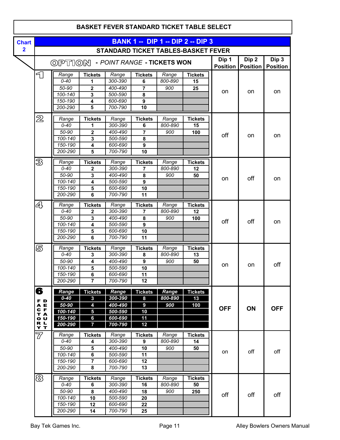|                         |                                           |                                  |                    |                         |         | <b>BASKET FEVER STANDARD TICKET TABLE SELECT</b> |                          |                          |                          |
|-------------------------|-------------------------------------------|----------------------------------|--------------------|-------------------------|---------|--------------------------------------------------|--------------------------|--------------------------|--------------------------|
| <b>Chart</b>            |                                           |                                  |                    |                         |         | <b>BANK 1 -- DIP 1 -- DIP 2 -- DIP 3</b>         |                          |                          |                          |
| $\overline{\mathbf{2}}$ |                                           |                                  |                    |                         |         | <b>STANDARD TICKET TABLES-BASKET FEVER</b>       |                          |                          |                          |
|                         | <b>OPTION - POINT RANGE - TICKETS WON</b> |                                  |                    |                         |         |                                                  | Dip 1<br><b>Position</b> | Dip 2<br><b>Position</b> | Dip 3<br><b>Position</b> |
| 91                      | Range                                     | <b>Tickets</b>                   | Range              | <b>Tickets</b>          | Range   | <b>Tickets</b>                                   |                          |                          |                          |
|                         | $0 - 40$                                  | 1                                | 300-390            | 6                       | 800-890 | 15                                               |                          |                          |                          |
|                         | $50 - 90$                                 | $\overline{\mathbf{2}}$          | 400-490            | 7                       | 900     | 25                                               |                          | on                       |                          |
|                         | 100-140                                   | 3                                | 500-590            | 8                       |         |                                                  | on                       |                          | <b>on</b>                |
|                         | 150-190                                   | 4                                | 600-690            | 9                       |         |                                                  |                          |                          |                          |
|                         | 200-290                                   | 5                                | 700-790            | 10                      |         |                                                  |                          |                          |                          |
| $\mathbb Z$             | Range                                     | <b>Tickets</b>                   | Range              | <b>Tickets</b>          | Range   | <b>Tickets</b>                                   |                          |                          |                          |
|                         | $0 - 40$                                  | 1                                | 300-390            | 6                       | 800-890 | 15                                               |                          |                          |                          |
|                         | 50-90                                     | $\overline{\mathbf{2}}$          | 400-490            | $\overline{7}$          | 900     | 100                                              | off                      |                          |                          |
|                         | 100-140                                   | $\mathbf 3$                      | 500-590            | 8                       |         |                                                  |                          | on                       | on                       |
|                         | 150-190                                   | $\overline{4}$                   | 600-690            | $\overline{9}$          |         |                                                  |                          |                          |                          |
|                         | 200-290                                   | 5                                | 700-790            | 10                      |         |                                                  |                          |                          |                          |
| B                       | Range                                     | <b>Tickets</b>                   | Range              | <b>Tickets</b>          | Range   | <b>Tickets</b>                                   |                          |                          |                          |
|                         | $0 - 40$                                  | $\mathbf 2$                      | 300-390            | $\overline{7}$          | 800-890 | 12                                               |                          |                          |                          |
|                         | $50 - 90$                                 | $\overline{\mathbf{3}}$          | 400-490            | $\overline{\mathbf{8}}$ | 900     | 50                                               |                          | off                      |                          |
|                         | 100-140                                   | 4                                | 500-590            | $\overline{9}$          |         |                                                  | on                       |                          | on                       |
|                         | 150-190                                   | 5                                | 600-690            | 10                      |         |                                                  |                          |                          |                          |
|                         | 200-290                                   | 6                                | 700-790            | 11                      |         |                                                  |                          |                          |                          |
| 4                       | Range                                     | <b>Tickets</b>                   | Range              | <b>Tickets</b>          | Range   | <b>Tickets</b>                                   |                          |                          |                          |
|                         | $0 - 40$                                  | $\mathbf 2$                      | 300-390            | $\overline{7}$          | 800-890 | 12                                               |                          |                          |                          |
|                         | 50-90                                     | 3                                | 400-490            | 8                       | 900     | 100                                              | off                      | off                      | <b>on</b>                |
|                         | 100-140                                   | 4                                | 500-590            | 9                       |         |                                                  |                          |                          |                          |
|                         | 150-190                                   | 5                                | 600-690            | 10                      |         |                                                  |                          |                          |                          |
|                         | 200-290                                   | 6                                | 700-790            | $\overline{11}$         |         |                                                  |                          |                          |                          |
| 5                       | Range                                     | <b>Tickets</b>                   | Range              | <b>Tickets</b>          | Range   | <b>Tickets</b>                                   |                          |                          |                          |
|                         | $0 - 40$                                  | 3                                | 300-390            | 8                       | 800-890 | 13                                               |                          |                          |                          |
|                         | 50-90                                     | 4                                | 400-490            | 9                       | 900     | 50                                               | on                       | on                       | off                      |
|                         | 100-140                                   | 5                                | 500-590            | 10                      |         |                                                  |                          |                          |                          |
|                         | 150-190                                   | 6<br>$\overline{7}$              | 600-690<br>700-790 | 11                      |         |                                                  |                          |                          |                          |
|                         | 200-290                                   |                                  |                    | 12                      |         |                                                  |                          |                          |                          |
| 6                       | Range                                     | <b>Tickets</b>                   | Range              | <b>Tickets</b>          | Range   | <b>Tickets</b>                                   |                          |                          |                          |
| F D                     | $0 - 40$                                  | $\mathbf{3}$                     | 300-390            | 8                       | 800-890 | 13                                               |                          |                          |                          |
| A E<br>C F              | 50-90                                     | $\overline{\mathbf{4}}$          | 400-490            | $\boldsymbol{9}$        | 900     | 100                                              | <b>OFF</b>               | ON                       | <b>OFF</b>               |
| T A                     | $100 - 140$                               | $\overline{\mathbf{5}}$          | 500-590            | 10                      |         |                                                  |                          |                          |                          |
| ο υ                     | 150-190<br>200-290                        | $6\phantom{a}$<br>$\overline{7}$ | 600-690<br>700-790 | 11<br>12                |         |                                                  |                          |                          |                          |
| R L<br>Y T              |                                           |                                  |                    |                         |         |                                                  |                          |                          |                          |
| $\overline{\mathbb{Z}}$ | Range                                     | <b>Tickets</b>                   | Range              | <b>Tickets</b>          | Range   | <b>Tickets</b>                                   |                          |                          |                          |
|                         | $0 - 40$                                  | 4                                | 300-390            | 9                       | 800-890 | 14                                               |                          |                          |                          |
|                         | 50-90                                     | ${\bf 5}$                        | 400-490            | 10                      | 900     | 50                                               | on                       | off                      | off                      |
|                         | 100-140                                   | $\bf 6$                          | 500-590            | 11                      |         |                                                  |                          |                          |                          |
|                         | 150-190<br>200-290                        | 7<br>$\overline{\mathbf{8}}$     | 600-690<br>700-790 | 12<br>13                |         |                                                  |                          |                          |                          |
|                         |                                           |                                  |                    |                         |         |                                                  |                          |                          |                          |
| ෂි                      | Range                                     | <b>Tickets</b>                   | Range              | <b>Tickets</b>          | Range   | <b>Tickets</b>                                   |                          |                          |                          |
|                         | $0 - 40$                                  | 6                                | 300-390            | 16                      | 800-890 | 50                                               |                          |                          |                          |
|                         | 50-90<br>100-140                          | 8<br>10                          | 400-490<br>500-590 | 18                      | 900     | 250                                              | off                      | off                      | off                      |
|                         | 150-190                                   | 12                               | 600-690            | ${\bf 20}$<br>22        |         |                                                  |                          |                          |                          |
|                         | 200-290                                   | 14                               | 700-790            | 25                      |         |                                                  |                          |                          |                          |
|                         |                                           |                                  |                    |                         |         |                                                  |                          |                          |                          |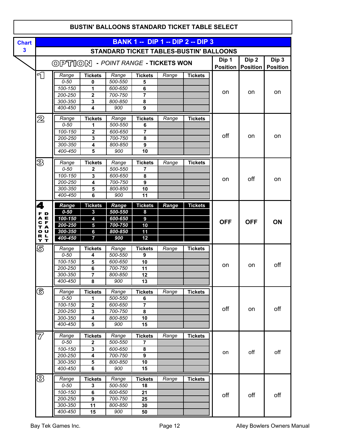|              |                         |                                           |                                  |                    |                         |       | <b>BUSTIN' BALLOONS STANDARD TICKET TABLE SELECT</b> |                          |                          |                          |
|--------------|-------------------------|-------------------------------------------|----------------------------------|--------------------|-------------------------|-------|------------------------------------------------------|--------------------------|--------------------------|--------------------------|
| <b>Chart</b> |                         |                                           |                                  |                    |                         |       | <b>BANK 1 -- DIP 1 -- DIP 2 -- DIP 3</b>             |                          |                          |                          |
| $\mathbf{3}$ |                         | STANDARD TICKET TABLES-BUSTIN' BALLOONS   |                                  |                    |                         |       |                                                      |                          |                          |                          |
|              |                         | <b>OPTION - POINT RANGE - TICKETS WON</b> |                                  |                    |                         |       |                                                      | Dip 1<br><b>Position</b> | Dip 2<br><b>Position</b> | Dip 3<br><b>Position</b> |
|              | 1                       | Range                                     | <b>Tickets</b>                   | Range              | <b>Tickets</b>          | Range | <b>Tickets</b>                                       |                          |                          |                          |
|              |                         | $0 - 50$                                  | 0                                | 500-550            | 5                       |       |                                                      |                          |                          |                          |
|              |                         | 100-150                                   | 1                                | 600-650            | 6                       |       |                                                      | on                       | on                       | on                       |
|              |                         | 200-250<br>300-350                        | $\mathbf 2$                      | 700-750<br>800-850 | 8                       |       |                                                      |                          |                          |                          |
|              |                         | 400-450                                   | 3<br>$\overline{\mathbf{4}}$     | 900                | 9                       |       |                                                      |                          |                          |                          |
|              |                         |                                           |                                  |                    |                         |       |                                                      |                          |                          |                          |
|              | $\mathbb Z$             | Range<br>$0 - 50$                         | <b>Tickets</b><br>1              | Range<br>500-550   | <b>Tickets</b><br>6     | Range | <b>Tickets</b>                                       |                          |                          |                          |
|              |                         | 100-150                                   | $\overline{\mathbf{2}}$          | 600-650            | $\overline{7}$          |       |                                                      |                          |                          |                          |
|              |                         | 200-250                                   | 3                                | 700-750            | 8                       |       |                                                      | off                      | on                       | on                       |
|              |                         | 300-350                                   | 4                                | 800-850            | 9                       |       |                                                      |                          |                          |                          |
|              |                         | 400-450                                   | 5                                | 900                | 10                      |       |                                                      |                          |                          |                          |
|              | B                       | Range                                     | <b>Tickets</b>                   | Range              | <b>Tickets</b>          | Range | <b>Tickets</b>                                       |                          |                          |                          |
|              |                         | $0 - 50$                                  | $\mathbf{2}$                     | 500-550            | $\overline{7}$          |       |                                                      |                          | off                      |                          |
|              |                         | $100 - 150$                               | 3                                | 600-650            | 8                       |       |                                                      | on                       |                          | on                       |
|              |                         | 200-250                                   | 4                                | 700-750            | $\overline{9}$          |       |                                                      |                          |                          |                          |
|              |                         | 300-350<br>400-450                        | 5<br>6                           | 800-850<br>900     | 10<br>11                |       |                                                      |                          |                          |                          |
|              |                         |                                           |                                  |                    |                         |       |                                                      |                          |                          |                          |
|              | 4                       | Range                                     | <b>Tickets</b>                   | Range              | <b>Tickets</b>          | Range | <b>Tickets</b>                                       |                          |                          |                          |
|              | F D<br>A E              | $0 - 50$<br>100-150                       | 3<br>4                           | 500-550<br>600-650 | 8<br>9                  |       |                                                      |                          |                          |                          |
|              | C F                     | 200-250                                   | 5                                | 700-750            | 10                      |       |                                                      | <b>OFF</b>               | <b>OFF</b>               | ON                       |
|              | T A<br>U<br>$\bullet$   | 300-350                                   | 6                                | 800-850            | 11                      |       |                                                      |                          |                          |                          |
|              | R L<br>Y T              | 400-450                                   | 7                                | 900                | 12                      |       |                                                      |                          |                          |                          |
|              | 5                       | Range                                     | <b>Tickets</b>                   | Range              | <b>Tickets</b>          | Range | <b>Tickets</b>                                       |                          |                          |                          |
|              |                         | $0 - 50$                                  | 4                                | 500-550            | 9                       |       |                                                      |                          |                          |                          |
|              |                         | 100-150                                   | 5                                | 600-650            | 10                      |       |                                                      | on                       | on                       | off                      |
|              |                         | 200-250                                   | $\overline{\mathbf{6}}$          | 700-750            | $\overline{11}$         |       |                                                      |                          |                          |                          |
|              |                         | 300-350<br>400-450                        | $\overline{7}$<br>$\pmb{8}$      | 800-850<br>900     | 12<br>13                |       |                                                      |                          |                          |                          |
|              |                         |                                           |                                  |                    |                         |       |                                                      |                          |                          |                          |
|              | க                       | Range                                     | <b>Tickets</b>                   | Range              | <b>Tickets</b>          | Range | <b>Tickets</b>                                       |                          |                          |                          |
|              |                         | $0 - 50$                                  | 1                                | 500-550            | 6<br>$\overline{7}$     |       |                                                      |                          |                          |                          |
|              |                         | 100-150<br>200-250                        | $\overline{2}$<br>3              | 600-650<br>700-750 | $\overline{\mathbf{8}}$ |       |                                                      | off                      | on                       | off                      |
|              |                         | 300-350                                   | 4                                | 800-850            | 10                      |       |                                                      |                          |                          |                          |
|              |                         | 400-450                                   | $\overline{5}$                   | 900                | 15                      |       |                                                      |                          |                          |                          |
|              | $\overline{\mathrm{Z}}$ | Range                                     | <b>Tickets</b>                   | Range              | <b>Tickets</b>          | Range | <b>Tickets</b>                                       |                          |                          |                          |
|              |                         | $0 - 50$                                  | $\overline{2}$                   | 500-550            | $\overline{7}$          |       |                                                      |                          |                          |                          |
|              |                         | 100-150                                   | $\overline{\mathbf{3}}$          | 600-650            | $\overline{\mathbf{8}}$ |       |                                                      |                          |                          |                          |
|              |                         | 200-250                                   | $\overline{\mathbf{4}}$          | 700-750            | $\overline{9}$          |       |                                                      | on                       | off                      | off                      |
|              |                         | 300-350                                   | 5                                | 800-850            | 10                      |       |                                                      |                          |                          |                          |
|              |                         | 400-450                                   | 6                                | 900                | 15                      |       |                                                      |                          |                          |                          |
|              | ෂි                      | Range                                     | <b>Tickets</b>                   | Range              | <b>Tickets</b>          | Range | <b>Tickets</b>                                       |                          |                          |                          |
|              |                         | $0 - 50$                                  | 3                                | 500-550            | 18                      |       |                                                      |                          |                          |                          |
|              |                         | 100-150                                   | $\overline{6}$<br>$\overline{9}$ | 600-650            | 21                      |       |                                                      | off                      | off                      | off                      |
|              |                         | 200-250<br>$300 - 350$                    | $\overline{11}$                  | 700-750<br>800-850 | 25<br>30                |       |                                                      |                          |                          |                          |
|              |                         | 400-450                                   | 15                               | 900                | 50                      |       |                                                      |                          |                          |                          |
|              |                         |                                           |                                  |                    |                         |       |                                                      |                          |                          |                          |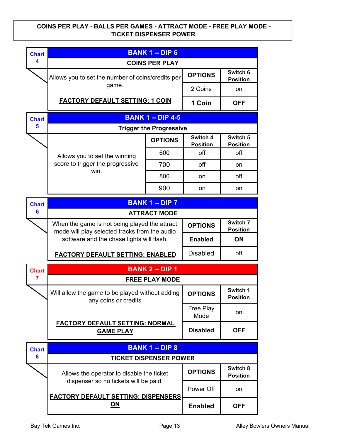#### COINS PER PLAY - BALLS PER GAMES - ATTRACT MODE - FREE PLAY MODE - TICKET DISPENSER POWER

| <b>Chart</b> |                                                                                                | <b>BANK 1 -- DIP 6</b>         |                             |                             |
|--------------|------------------------------------------------------------------------------------------------|--------------------------------|-----------------------------|-----------------------------|
| 4            |                                                                                                | <b>COINS PER PLAY</b>          |                             |                             |
|              | Allows you to set the number of coins/credits per                                              |                                | <b>OPTIONS</b>              | Switch 6<br><b>Position</b> |
|              | game.                                                                                          |                                | 2 Coins                     | on                          |
|              | <b>FACTORY DEFAULT SETTING: 1 COIN</b>                                                         |                                | 1 Coin                      | <b>OFF</b>                  |
| <b>Chart</b> |                                                                                                | <b>BANK 1 -- DIP 4-5</b>       |                             |                             |
| 5            |                                                                                                | <b>Trigger the Progressive</b> |                             |                             |
|              |                                                                                                | <b>OPTIONS</b>                 | Switch 4<br><b>Position</b> | Switch 5<br><b>Position</b> |
|              | Allows you to set the winning                                                                  | 600                            | off                         | off                         |
|              | score to trigger the progressive<br>win.                                                       | 700                            | off                         | on                          |
|              |                                                                                                | 800                            | on                          | off                         |
|              |                                                                                                | 900                            |                             | on                          |
| <b>Chart</b> |                                                                                                | <b>BANK 1 -- DIP 7</b>         |                             |                             |
| 6            |                                                                                                | <b>ATTRACT MODE</b>            |                             |                             |
|              | When the game is not being played the attract<br>mode will play selected tracks from the audio |                                | <b>OPTIONS</b>              | Switch 7<br><b>Position</b> |
|              | software and the chase lights will flash.                                                      |                                | <b>Enabled</b>              | <b>ON</b>                   |
|              | <b>FACTORY DEFAULT SETTING: ENABLED</b>                                                        |                                | <b>Disabled</b>             | off                         |
| <b>Chart</b> |                                                                                                | <b>BANK 2 -- DIP 1</b>         |                             |                             |
| 7            |                                                                                                | <b>FREE PLAY MODE</b>          |                             |                             |
|              | Will allow the game to be played without adding<br>any coins or credits                        |                                | <b>OPTIONS</b>              | Switch 1<br><b>Position</b> |
|              |                                                                                                |                                | Free Play<br>Mode           | on                          |
|              | <b>FACTORY DEFAULT SETTING: NORMAL</b><br><b>GAME PLAY</b>                                     |                                | <b>Disabled</b>             | <b>OFF</b>                  |
| <b>Chart</b> |                                                                                                | <b>BANK 1 -- DIP 8</b>         |                             |                             |
| 8            |                                                                                                | <b>TICKET DISPENSER POWER</b>  |                             |                             |
|              | Allows the operator to disable the ticket                                                      |                                | <b>OPTIONS</b>              | Switch 8<br><b>Position</b> |
|              | dispenser so no tickets will be paid.<br><b>FACTORY DEFAULT SETTING: DISPENSERS</b>            |                                | Power Off                   | on                          |
|              | <u>ON</u>                                                                                      |                                | <b>Enabled</b>              | <b>OFF</b>                  |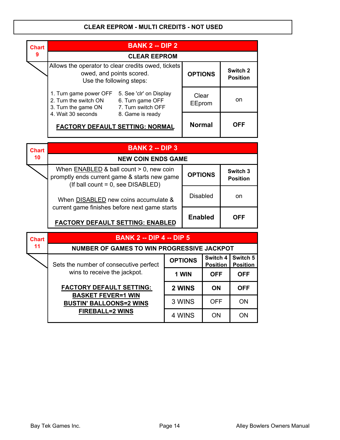#### CLEAR EEPROM - MULTI CREDITS - NOT USED



| <b>Chart</b> | <b>BANK 2 -- DIP 4 -- DIP 5</b>                             |                |                             |                             |
|--------------|-------------------------------------------------------------|----------------|-----------------------------|-----------------------------|
| 11           | <b>NUMBER OF GAMES TO WIN PROGRESSIVE JACKPOT</b>           |                |                             |                             |
|              | Sets the number of consecutive perfect                      | <b>OPTIONS</b> | Switch 4<br><b>Position</b> | Switch 5<br><b>Position</b> |
|              | wins to receive the jackpot.                                | 1 WIN          | <b>OFF</b>                  | <b>OFF</b>                  |
|              | <b>FACTORY DEFAULT SETTING:</b>                             | 2 WINS         | <b>ON</b>                   | <b>OFF</b>                  |
|              | <b>BASKET FEVER=1 WIN</b><br><b>BUSTIN' BALLOONS=2 WINS</b> | 3 WINS         | <b>OFF</b>                  | ON                          |
|              | <b>FIREBALL=2 WINS</b>                                      | 4 WINS         | ON                          | ON                          |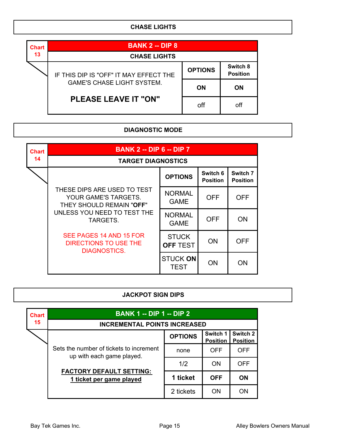#### CHASE LIGHTS

| <b>Chart</b> | <b>BANK 2 -- DIP 8</b>                 |                |                             |
|--------------|----------------------------------------|----------------|-----------------------------|
| 13           | <b>CHASE LIGHTS</b>                    |                |                             |
|              | IF THIS DIP IS "OFF" IT MAY EFFECT THE | <b>OPTIONS</b> | Switch 8<br><b>Position</b> |
|              | <b>GAME'S CHASE LIGHT SYSTEM.</b>      | <b>ON</b>      | <b>ON</b>                   |
|              | <b>PLEASE LEAVE IT "ON"</b>            | off            | off                         |

### DIAGNOSTIC MODE

| <b>Chart</b> | <b>BANK 2 -- DIP 6 -- DIP 7</b>                                                 |                                 |                             |                             |  |  |  |  |  |
|--------------|---------------------------------------------------------------------------------|---------------------------------|-----------------------------|-----------------------------|--|--|--|--|--|
| 14           | <b>TARGET DIAGNOSTICS</b>                                                       |                                 |                             |                             |  |  |  |  |  |
|              |                                                                                 | <b>OPTIONS</b>                  | Switch 6<br><b>Position</b> | Switch 7<br><b>Position</b> |  |  |  |  |  |
|              | THESE DIPS ARE USED TO TEST<br>YOUR GAME'S TARGETS.<br>THEY SHOULD REMAIN "OFF" | <b>NORMAL</b><br><b>GAME</b>    | <b>OFF</b>                  | OFF                         |  |  |  |  |  |
|              | UNLESS YOU NEED TO TEST THE<br>TARGETS.                                         | <b>NORMAL</b><br><b>GAME</b>    | <b>OFF</b>                  | ON                          |  |  |  |  |  |
|              | SEE PAGES 14 AND 15 FOR<br>DIRECTIONS TO USE THE<br><b>DIAGNOSTICS.</b>         | <b>STUCK</b><br><b>OFF TEST</b> | <b>ON</b>                   | <b>OFF</b>                  |  |  |  |  |  |
|              |                                                                                 | <b>STUCK ON</b><br><b>TEST</b>  | ON                          | ON                          |  |  |  |  |  |

## JACKPOT SIGN DIPS

| <b>Chart</b> | <b>BANK 1 -- DIP 1 -- DIP 2</b>                                      |                |                             |                             |  |  |  |  |  |  |
|--------------|----------------------------------------------------------------------|----------------|-----------------------------|-----------------------------|--|--|--|--|--|--|
| 15           | <b>INCREMENTAL POINTS INCREASED</b>                                  |                |                             |                             |  |  |  |  |  |  |
|              |                                                                      | <b>OPTIONS</b> | Switch 1<br><b>Position</b> | Switch 2<br><b>Position</b> |  |  |  |  |  |  |
|              | Sets the number of tickets to increment<br>up with each game played. | none           | <b>OFF</b>                  | OFF                         |  |  |  |  |  |  |
|              |                                                                      | 1/2            | <b>ON</b>                   | <b>OFF</b>                  |  |  |  |  |  |  |
|              | <b>FACTORY DEFAULT SETTING:</b><br>1 ticket per game played          | 1 ticket       | <b>OFF</b>                  | ON                          |  |  |  |  |  |  |
|              |                                                                      | 2 tickets      | ON                          | ON                          |  |  |  |  |  |  |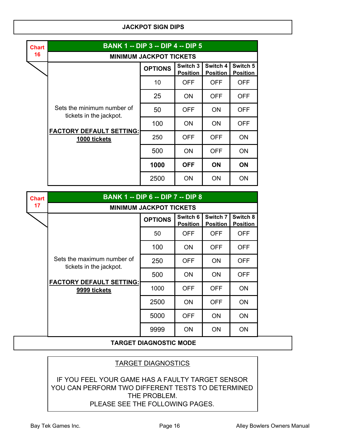#### JACKPOT SIGN DIPS

| <b>Chart</b> | <b>BANK 1 -- DIP 3 -- DIP 4 -- DIP 5</b><br><b>MINIMUM JACKPOT TICKETS</b> |                |                             |                             |                             |
|--------------|----------------------------------------------------------------------------|----------------|-----------------------------|-----------------------------|-----------------------------|
| 16           |                                                                            |                |                             |                             |                             |
|              |                                                                            | <b>OPTIONS</b> | Switch 3<br><b>Position</b> | Switch 4<br><b>Position</b> | Switch 5<br><b>Position</b> |
|              |                                                                            | 10             | <b>OFF</b>                  | <b>OFF</b>                  | <b>OFF</b>                  |
|              |                                                                            | 25             | <b>ON</b>                   | <b>OFF</b>                  | <b>OFF</b>                  |
|              | Sets the minimum number of<br>tickets in the jackpot.                      | 50             | <b>OFF</b>                  | <b>ON</b>                   | <b>OFF</b>                  |
|              |                                                                            | 100            | <b>ON</b>                   | <b>ON</b>                   | <b>OFF</b>                  |
|              | <b>FACTORY DEFAULT SETTING:</b><br>1000 tickets                            | 250            | <b>OFF</b>                  | <b>OFF</b>                  | <b>ON</b>                   |
|              |                                                                            | 500            | <b>ON</b>                   | <b>OFF</b>                  | ON                          |
|              |                                                                            | 1000           | <b>OFF</b>                  | <b>ON</b>                   | <b>ON</b>                   |
|              |                                                                            | 2500           | ON                          | ON                          | ON                          |

| <b>BANK 1 -- DIP 6 -- DIP 7 -- DIP 8</b> |                                                            |                             |                             |                             |
|------------------------------------------|------------------------------------------------------------|-----------------------------|-----------------------------|-----------------------------|
| <b>MINIMUM JACKPOT TICKETS</b>           |                                                            |                             |                             |                             |
|                                          | <b>OPTIONS</b>                                             | Switch 6<br><b>Position</b> | Switch 7<br><b>Position</b> | Switch 8<br><b>Position</b> |
|                                          | 50                                                         | <b>OFF</b>                  | <b>OFF</b>                  | <b>OFF</b>                  |
|                                          | 100                                                        | <b>ON</b>                   | <b>OFF</b>                  | <b>OFF</b>                  |
| Sets the maximum number of               | 250                                                        | <b>OFF</b>                  | <b>ON</b>                   | <b>OFF</b>                  |
|                                          | 500                                                        | <b>ON</b>                   | <b>ON</b>                   | <b>OFF</b>                  |
| 9999 tickets                             | 1000                                                       | <b>OFF</b>                  | <b>OFF</b>                  | ON                          |
|                                          | 2500                                                       | ON                          | <b>OFF</b>                  | ON                          |
|                                          | 5000                                                       | <b>OFF</b>                  | <b>ON</b>                   | ON                          |
|                                          | 9999                                                       | ON                          | <b>ON</b>                   | ON                          |
|                                          | tickets in the jackpot.<br><b>FACTORY DEFAULT SETTING:</b> |                             |                             |                             |

#### TARGET DIAGNOSTIC MODE

### TARGET DIAGNOSTICS

IF YOU FEEL YOUR GAME HAS A FAULTY TARGET SENSOR YOU CAN PERFORM TWO DIFFERENT TESTS TO DETERMINED THE PROBLEM. PLEASE SEE THE FOLLOWING PAGES.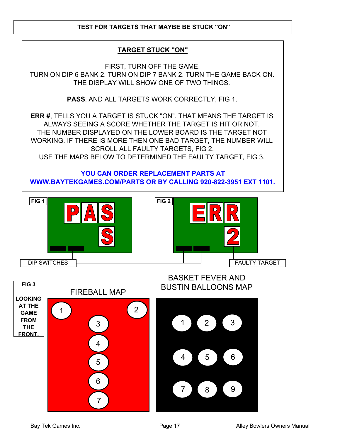#### TEST FOR TARGETS THAT MAYBE BE STUCK "ON"

### TARGET STUCK "ON"

FIRST, TURN OFF THE GAME. TURN ON DIP 6 BANK 2. TURN ON DIP 7 BANK 2. TURN THE GAME BACK ON. THE DISPLAY WILL SHOW ONE OF TWO THINGS.

PASS, AND ALL TARGETS WORK CORRECTLY, FIG 1.

ERR #, TELLS YOU A TARGET IS STUCK "ON". THAT MEANS THE TARGET IS ALWAYS SEEING A SCORE WHETHER THE TARGET IS HIT OR NOT. THE NUMBER DISPLAYED ON THE LOWER BOARD IS THE TARGET NOT WORKING. IF THERE IS MORE THEN ONE BAD TARGET, THE NUMBER WILL SCROLL ALL FAULTY TARGETS, FIG 2. USE THE MAPS BELOW TO DETERMINED THE FAULTY TARGET, FIG 3.

YOU CAN ORDER REPLACEMENT PARTS AT WWW.BAYTEKGAMES.COM/PARTS OR BY CALLING 920-822-3951 EXT 1101.



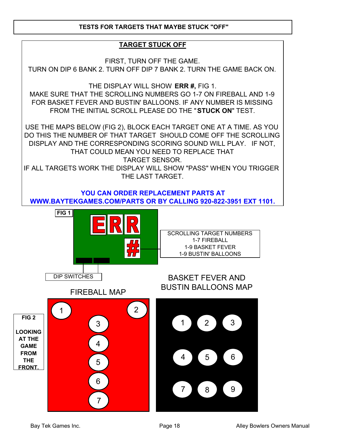#### TESTS FOR TARGETS THAT MAYBE STUCK "OFF"

#### TARGET STUCK OFF

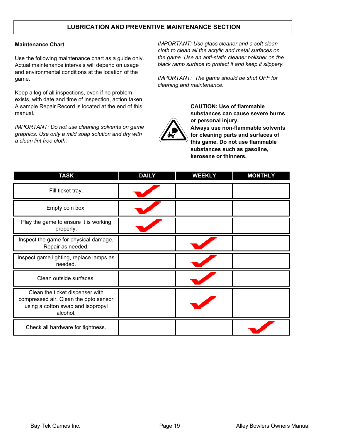#### LUBRICATION AND PREVENTIVE MAINTENANCE SECTION

#### Maintenance Chart

Use the following maintenance chart as a guide only. Actual maintenance intervals will depend on usage and environmental conditions at the location of the game.

Keep a log of all inspections, even if no problem exists, with date and time of inspection, action taken. A sample Repair Record is located at the end of this manual.

IMPORTANT: Do not use cleaning solvents on game graphics. Use only a mild soap solution and dry with a clean lint free cloth.

IMPORTANT: Use glass cleaner and a soft clean cloth to clean all the acrylic and metal surfaces on the game. Use an anti-static cleaner polisher on the black ramp surface to protect it and keep it slippery.

IMPORTANT: The game should be shut OFF for cleaning and maintenance.



CAUTION: Use of flammable substances can cause severe burns or personal injury. Always use non-flammable solvents for cleaning parts and surfaces of this game. Do not use flammable substances such as gasoline, kerosene or thinners.

| <b>TASK</b>                                                                                                               | <b>DAILY</b> | <b>WEEKLY</b> | <b>MONTHLY</b> |
|---------------------------------------------------------------------------------------------------------------------------|--------------|---------------|----------------|
| Fill ticket tray.                                                                                                         |              |               |                |
| Empty coin box.                                                                                                           |              |               |                |
| Play the game to ensure it is working<br>properly.                                                                        |              |               |                |
| Inspect the game for physical damage.<br>Repair as needed.                                                                |              |               |                |
| Inspect game lighting, replace lamps as<br>needed.                                                                        |              |               |                |
| Clean outside surfaces.                                                                                                   |              |               |                |
| Clean the ticket dispenser with<br>compressed air. Clean the opto sensor<br>using a cotton swab and isopropyl<br>alcohol. |              |               |                |
| Check all hardware for tightness.                                                                                         |              |               |                |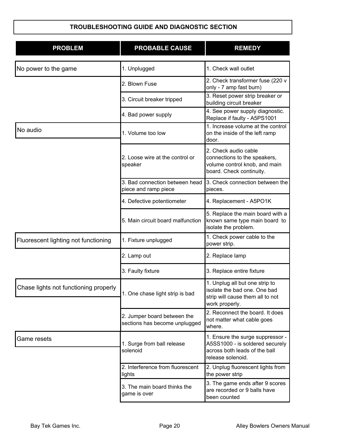| <b>PROBLEM</b>                        | <b>PROBABLE CAUSE</b>                                        | <b>REMEDY</b>                                                                                                             |
|---------------------------------------|--------------------------------------------------------------|---------------------------------------------------------------------------------------------------------------------------|
| No power to the game                  | 1. Unplugged                                                 | 1. Check wall outlet                                                                                                      |
|                                       | 2. Blown Fuse                                                | 2. Check transformer fuse (220 v<br>only - 7 amp fast burn)                                                               |
|                                       | 3. Circuit breaker tripped                                   | 3. Reset power strip breaker or<br>building circuit breaker                                                               |
|                                       | 4. Bad power supply                                          | 4. See power supply diagnostic.<br>Replace if faulty - A5PS1001                                                           |
| No audio                              | 1. Volume too low                                            | 1. Increase volume at the control<br>on the inside of the left ramp<br>door.                                              |
|                                       | 2. Loose wire at the control or<br>speaker                   | 2. Check audio cable<br>connections to the speakers,<br>volume control knob, and main<br>board. Check continuity.         |
|                                       | 3. Bad connection between head<br>piece and ramp piece       | 3. Check connection between the<br>pieces.                                                                                |
|                                       | 4. Defective potentiometer                                   | 4. Replacement - A5PO1K                                                                                                   |
|                                       | 5. Main circuit board malfunction                            | 5. Replace the main board with a<br>known same type main board to<br>isolate the problem.                                 |
| Fluorescent lighting not functioning  | 1. Fixture unplugged                                         | 1. Check power cable to the<br>power strip.                                                                               |
|                                       | 2. Lamp out                                                  | 2. Replace lamp                                                                                                           |
|                                       | 3. Faulty fixture                                            | 3. Replace entire fixture                                                                                                 |
| Chase lights not functioning properly | 1. One chase light strip is bad                              | 1. Unplug all but one strip to<br>isolate the bad one. One bad<br>strip will cause them all to not<br>work properly.      |
|                                       | 2. Jumper board between the<br>sections has become unplugged | 2. Reconnect the board. It does<br>not matter what cable goes<br>where.                                                   |
| Game resets                           | 1. Surge from ball release<br>solenoid                       | 1. Ensure the surge suppressor -<br>A5SS1000 - is soldered securely<br>across both leads of the ball<br>release solenoid. |
|                                       | 2. Interference from fluorescent<br>lights                   | 2. Unplug fluorescent lights from<br>the power strip                                                                      |
|                                       | 3. The main board thinks the<br>game is over                 | 3. The game ends after 9 scores<br>are recorded or 9 balls have<br>been counted                                           |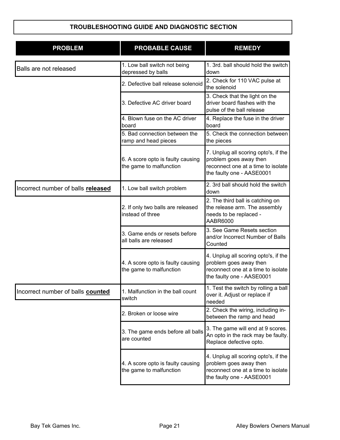| <b>PROBLEM</b>                     | <b>PROBABLE CAUSE</b>                                        | <b>REMEDY</b>                                                                                                                     |
|------------------------------------|--------------------------------------------------------------|-----------------------------------------------------------------------------------------------------------------------------------|
| Balls are not released             | 1. Low ball switch not being<br>depressed by balls           | 1. 3rd. ball should hold the switch<br>down                                                                                       |
|                                    | 2. Defective ball release solenoid                           | 2. Check for 110 VAC pulse at<br>the solenoid                                                                                     |
|                                    | 3. Defective AC driver board                                 | 3. Check that the light on the<br>driver board flashes with the<br>pulse of the ball release                                      |
|                                    | 4. Blown fuse on the AC driver<br>board                      | 4. Replace the fuse in the driver<br>board                                                                                        |
|                                    | 5. Bad connection between the<br>ramp and head pieces        | 5. Check the connection between<br>the pieces                                                                                     |
|                                    | 6. A score opto is faulty causing<br>the game to malfunction | 7. Unplug all scoring opto's, if the<br>problem goes away then<br>reconnect one at a time to isolate<br>the faulty one - AASE0001 |
| Incorrect number of balls released | 1. Low ball switch problem                                   | 2. 3rd ball should hold the switch<br>down                                                                                        |
|                                    | 2. If only two balls are released<br>instead of three        | 2. The third ball is catching on<br>the release arm. The assembly<br>needs to be replaced -<br>AABR6000                           |
|                                    | 3. Game ends or resets before<br>all balls are released      | 3. See Game Resets section<br>and/or Incorrect Number of Balls<br>Counted                                                         |
|                                    | 4. A score opto is faulty causing<br>the game to malfunction | 4. Unplug all scoring opto's, if the<br>problem goes away then<br>reconnect one at a time to isolate<br>the faulty one - AASE0001 |
| Incorrect number of balls counted  | 1. Malfunction in the ball count<br>switch                   | 1. Test the switch by rolling a ball<br>over it. Adjust or replace if<br>needed                                                   |
|                                    | 2. Broken or loose wire                                      | 2. Check the wiring, including in-<br>between the ramp and head                                                                   |
|                                    | 3. The game ends before all balls<br>are counted             | 3. The game will end at 9 scores.<br>An opto in the rack may be faulty.<br>Replace defective opto.                                |
|                                    | 4. A score opto is faulty causing<br>the game to malfunction | 4. Unplug all scoring opto's, if the<br>problem goes away then<br>reconnect one at a time to isolate<br>the faulty one - AASE0001 |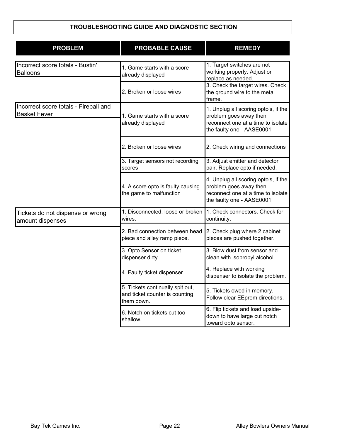| <b>PROBLEM</b>                                               | <b>PROBABLE CAUSE</b>                                                            | <b>REMEDY</b>                                                                                                                     |
|--------------------------------------------------------------|----------------------------------------------------------------------------------|-----------------------------------------------------------------------------------------------------------------------------------|
| Incorrect score totals - Bustin'<br>Balloons                 | 1. Game starts with a score<br>already displayed                                 | 1. Target switches are not<br>working properly. Adjust or<br>replace as needed.                                                   |
|                                                              | 2. Broken or loose wires                                                         | 3. Check the target wires. Check<br>the ground wire to the metal<br>frame.                                                        |
| Incorrect score totals - Fireball and<br><b>Basket Fever</b> | 1. Game starts with a score<br>already displayed                                 | 1. Unplug all scoring opto's, if the<br>problem goes away then<br>reconnect one at a time to isolate<br>the faulty one - AASE0001 |
|                                                              | 2. Broken or loose wires                                                         | 2. Check wiring and connections                                                                                                   |
|                                                              | 3. Target sensors not recording<br>scores                                        | 3. Adjust emitter and detector<br>pair. Replace opto if needed.                                                                   |
|                                                              | 4. A score opto is faulty causing<br>the game to malfunction                     | 4. Unplug all scoring opto's, if the<br>problem goes away then<br>reconnect one at a time to isolate<br>the faulty one - AASE0001 |
| Tickets do not dispense or wrong<br>amount dispenses         | 1. Disconnected, loose or broken<br>wires.                                       | 1. Check connectors. Check for<br>continuity.                                                                                     |
|                                                              | 2. Bad connection between head<br>piece and alley ramp piece.                    | 2. Check plug where 2 cabinet<br>pieces are pushed together.                                                                      |
|                                                              | 3. Opto Sensor on ticket<br>dispenser dirty.                                     | 3. Blow dust from sensor and<br>clean with isopropyl alcohol.                                                                     |
|                                                              | 4. Faulty ticket dispenser.                                                      | 4. Replace with working<br>dispenser to isolate the problem.                                                                      |
|                                                              | 5. Tickets continually spit out,<br>and ticket counter is counting<br>them down. | 5. Tickets owed in memory.<br>Follow clear EEprom directions.                                                                     |
|                                                              | 6. Notch on tickets cut too<br>shallow.                                          | 6. Flip tickets and load upside-<br>down to have large cut notch<br>toward opto sensor.                                           |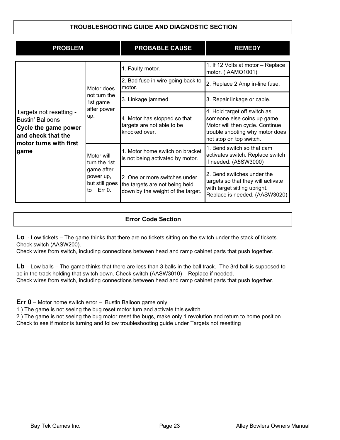| <b>PROBLEM</b>                                                                                                             |                                                                                          | <b>PROBABLE CAUSE</b>                                                                                | <b>REMEDY</b>                                                                                                                                                |
|----------------------------------------------------------------------------------------------------------------------------|------------------------------------------------------------------------------------------|------------------------------------------------------------------------------------------------------|--------------------------------------------------------------------------------------------------------------------------------------------------------------|
|                                                                                                                            |                                                                                          | 1. Faulty motor.                                                                                     | 1. If 12 Volts at motor - Replace<br>motor. (AAMO1001)                                                                                                       |
|                                                                                                                            | Motor does<br>not turn the<br>1st game                                                   | 2. Bad fuse in wire going back to<br>motor.                                                          | 2. Replace 2 Amp in-line fuse.                                                                                                                               |
|                                                                                                                            |                                                                                          | 3. Linkage jammed.                                                                                   | 3. Repair linkage or cable.                                                                                                                                  |
| Targets not resetting -<br><b>Bustin' Balloons</b><br>Cycle the game power<br>and check that the<br>motor turns with first | after power<br>up.                                                                       | 4. Motor has stopped so that<br>targets are not able to be<br>knocked over.                          | 4. Hold target off switch as<br>someone else coins up game.<br>Motor will then cycle. Continue<br>trouble shooting why motor does<br>not stop on top switch. |
| game                                                                                                                       | Motor will<br>turn the 1st<br>game after<br>power up,<br>but still goes<br>Err 0.<br>lto | 1. Motor home switch on bracket<br>is not being activated by motor.                                  | 1. Bend switch so that cam<br>activates switch. Replace switch<br>if needed. (A5SW3000)                                                                      |
|                                                                                                                            |                                                                                          | 2. One or more switches under<br>the targets are not being held<br>down by the weight of the target. | 2. Bend switches under the<br>targets so that they will activate<br>with target sitting upright.<br>Replace is needed. (AASW3020)                            |

#### Error Code Section

Lo - Low tickets – The game thinks that there are no tickets sitting on the switch under the stack of tickets. Check switch (AASW200).

Check wires from switch, including connections between head and ramp cabinet parts that push together.

Lb – Low balls – The game thinks that there are less than 3 balls in the ball track. The 3rd ball is supposed to be in the track holding that switch down. Check switch (AASW3010) – Replace if needed. Check wires from switch, including connections between head and ramp cabinet parts that push together.

Err 0 – Motor home switch error – Bustin Balloon game only.

1.) The game is not seeing the bug reset motor turn and activate this switch.

2.) The game is not seeing the bug motor reset the bugs, make only 1 revolution and return to home position. Check to see if motor is turning and follow troubleshooting guide under Targets not resetting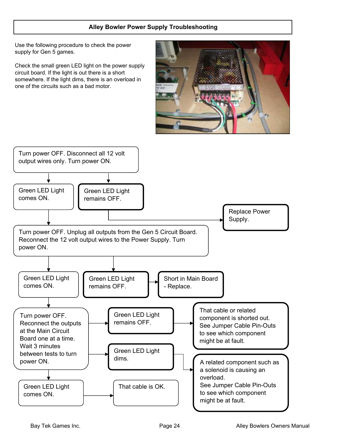#### Alley Bowler Power Supply Troubleshooting

Use the following procedure to check the power supply for Gen 5 games.

Check the small green LED light on the power supply circuit board. If the light is out there is a short somewhere. If the light dims, there is an overload in one of the circuits such as a bad motor.



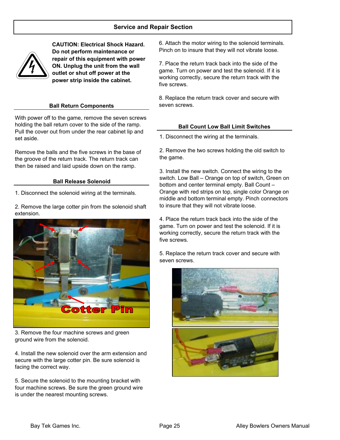

CAUTION: Electrical Shock Hazard. Do not perform maintenance or repair of this equipment with power ON. Unplug the unit from the wall outlet or shut off power at the power strip inside the cabinet.

#### Ball Return Components

With power off to the game, remove the seven screws holding the ball return cover to the side of the ramp. Pull the cover out from under the rear cabinet lip and set aside.

Remove the balls and the five screws in the base of the groove of the return track. The return track can then be raised and laid upside down on the ramp.

#### Ball Release Solenoid

1. Disconnect the solenoid wiring at the terminals.

2. Remove the large cotter pin from the solenoid shaft extension.



3. Remove the four machine screws and green ground wire from the solenoid.

4. Install the new solenoid over the arm extension and secure with the large cotter pin. Be sure solenoid is facing the correct way.

5. Secure the solenoid to the mounting bracket with four machine screws. Be sure the green ground wire is under the nearest mounting screws.

6. Attach the motor wiring to the solenoid terminals. Pinch on to insure that they will not vibrate loose.

7. Place the return track back into the side of the game. Turn on power and test the solenoid. If it is working correctly, secure the return track with the five screws.

8. Replace the return track cover and secure with seven screws.

#### Ball Count Low Ball Limit Switches

1. Disconnect the wiring at the terminals.

2. Remove the two screws holding the old switch to the game.

3. Install the new switch. Connect the wiring to the switch. Low Ball – Orange on top of switch, Green on bottom and center terminal empty. Ball Count – Orange with red strips on top, single color Orange on middle and bottom terminal empty. Pinch connectors to insure that they will not vibrate loose.

4. Place the return track back into the side of the game. Turn on power and test the solenoid. If it is working correctly, secure the return track with the five screws.

5. Replace the return track cover and secure with seven screws.

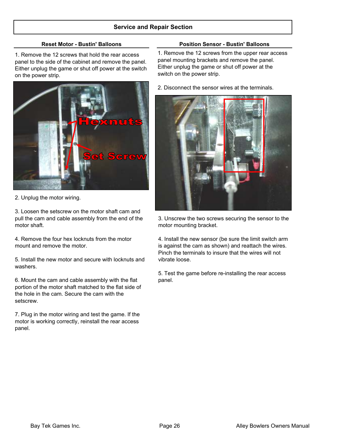1. Remove the 12 screws that hold the rear access panel to the side of the cabinet and remove the panel. Either unplug the game or shut off power at the switch on the power strip.



2. Unplug the motor wiring.

3. Loosen the setscrew on the motor shaft cam and pull the cam and cable assembly from the end of the motor shaft.

4. Remove the four hex locknuts from the motor mount and remove the motor.

5. Install the new motor and secure with locknuts and washers.

6. Mount the cam and cable assembly with the flat portion of the motor shaft matched to the flat side of the hole in the cam. Secure the cam with the setscrew.

7. Plug in the motor wiring and test the game. If the motor is working correctly, reinstall the rear access panel.

#### Reset Motor - Bustin' Balloons **Position Sensor - Bustin' Balloons**

1. Remove the 12 screws from the upper rear access panel mounting brackets and remove the panel. Either unplug the game or shut off power at the switch on the power strip.

2. Disconnect the sensor wires at the terminals.



3. Unscrew the two screws securing the sensor to the motor mounting bracket.

4. Install the new sensor (be sure the limit switch arm is against the cam as shown) and reattach the wires. Pinch the terminals to insure that the wires will not vibrate loose.

5. Test the game before re-installing the rear access panel.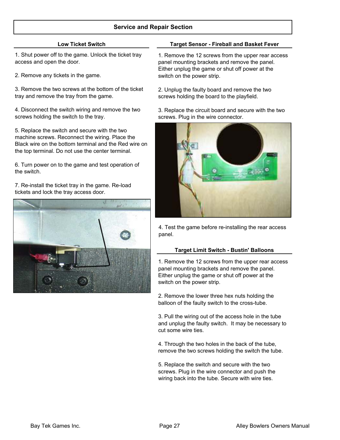1. Shut power off to the game. Unlock the ticket tray access and open the door.

2. Remove any tickets in the game.

3. Remove the two screws at the bottom of the ticket tray and remove the tray from the game.

4. Disconnect the switch wiring and remove the two screws holding the switch to the tray.

5. Replace the switch and secure with the two machine screws. Reconnect the wiring. Place the Black wire on the bottom terminal and the Red wire on the top terminal. Do not use the center terminal.

6. Turn power on to the game and test operation of the switch.

#### 7. Re-install the ticket tray in the game. Re-load tickets and lock the tray access door.



#### Low Ticket Switch Target Sensor - Fireball and Basket Fever

1. Remove the 12 screws from the upper rear access panel mounting brackets and remove the panel. Either unplug the game or shut off power at the switch on the power strip.

2. Unplug the faulty board and remove the two screws holding the board to the playfield.

3. Replace the circuit board and secure with the two screws. Plug in the wire connector.



4. Test the game before re-installing the rear access panel.

#### Target Limit Switch - Bustin' Balloons

1. Remove the 12 screws from the upper rear access panel mounting brackets and remove the panel. Either unplug the game or shut off power at the switch on the power strip.

2. Remove the lower three hex nuts holding the balloon of the faulty switch to the cross-tube.

3. Pull the wiring out of the access hole in the tube and unplug the faulty switch. It may be necessary to cut some wire ties.

4. Through the two holes in the back of the tube, remove the two screws holding the switch the tube.

5. Replace the switch and secure with the two screws. Plug in the wire connector and push the wiring back into the tube. Secure with wire ties.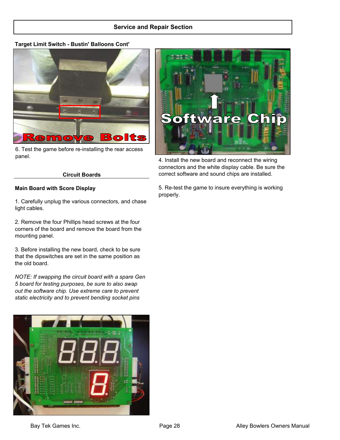#### Target Limit Switch - Bustin' Balloons Cont'



6. Test the game before re-installing the rear access panel.

# Cinn . C are  $\bullet$

4. Install the new board and reconnect the wiring connectors and the white display cable. Be sure the correct software and sound chips are installed.

#### Circuit Boards

#### Main Board with Score Display

1. Carefully unplug the various connectors, and chase light cables.

2. Remove the four Phillips head screws at the four corners of the board and remove the board from the mounting panel.

3. Before installing the new board, check to be sure that the dipswitches are set in the same position as the old board.

NOTE: If swapping the circuit board with a spare Gen 5 board for testing purposes, be sure to also swap out the software chip. Use extreme care to prevent static electricity and to prevent bending socket pins



5. Re-test the game to insure everything is working properly.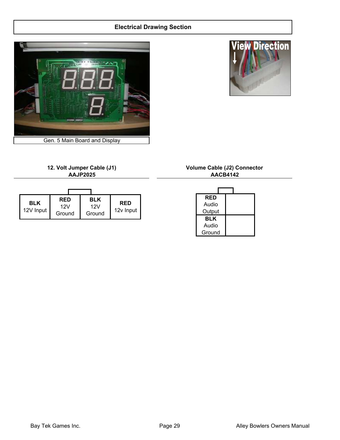#### Electrical Drawing Section





#### 12. Volt Jumper Cable (J1) Volume Cable (J2) Connector AAJP2025

| <b>BLK</b><br>12V Input | <b>RED</b><br>12V<br>Ground | <b>BLK</b><br>12V<br>Ground | <b>RED</b><br>12v Input |
|-------------------------|-----------------------------|-----------------------------|-------------------------|

# AACB4142

| RED    |  |
|--------|--|
| Audio  |  |
| Output |  |
| BLK    |  |
| Audio  |  |
| Ground |  |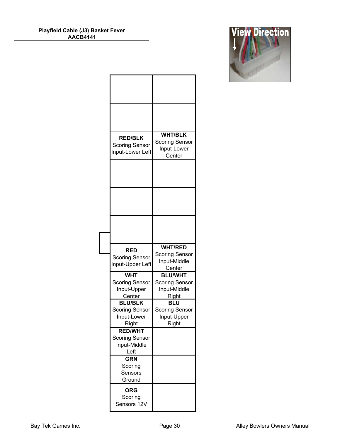| <b>View Direction</b> |
|-----------------------|
|                       |
|                       |
|                       |

| <b>RED/BLK</b><br><b>Scoring Sensor</b><br>Input-Lower Left                      | <b>WHT/BLK</b><br><b>Scoring Sensor</b><br>Input-Lower<br>Center            |
|----------------------------------------------------------------------------------|-----------------------------------------------------------------------------|
|                                                                                  |                                                                             |
|                                                                                  |                                                                             |
|                                                                                  |                                                                             |
|                                                                                  |                                                                             |
|                                                                                  |                                                                             |
| <b>RED</b><br><b>Scoring Sensor</b><br>Input-Upper Left                          | <b>WHT/RED</b><br><b>Scoring Sensor</b><br>Input-Middle                     |
| <b>WHT</b><br><b>Scoring Sensor</b><br>Input-Upper                               | Center<br><b>BLU/WHT</b><br><b>Scoring Sensor</b><br>Input-Middle           |
| <b>Center</b><br><b>BLU/BLK</b><br><b>Scoring Sensor</b><br>Input-Lower<br>Right | <u>Right</u><br><b>BLU</b><br><b>Scoring Sensor</b><br>Input-Upper<br>Right |
| <b>RED/WHT</b><br><b>Scoring Sensor</b><br>Input-Middle<br>Left                  |                                                                             |
| <b>GRN</b><br>Scoring<br>Sensors<br>Ground                                       |                                                                             |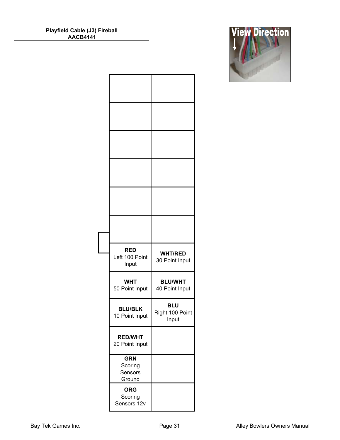| <b>RED</b><br>Left 100 Point<br>Input      | <b>WHT/RED</b><br>30 Point Input       |
|--------------------------------------------|----------------------------------------|
| <b>WHT</b><br>50 Point Input               | <b>BLU/WHT</b><br>40 Point Input       |
| <b>BLU/BLK</b><br>10 Point Input           | <b>BLU</b><br>Right 100 Point<br>Input |
| <b>RED/WHT</b><br>20 Point Input           |                                        |
| <b>GRN</b><br>Scoring<br>Sensors<br>Ground |                                        |
| <b>ORG</b><br>Scoring<br>Sensors 12v       |                                        |

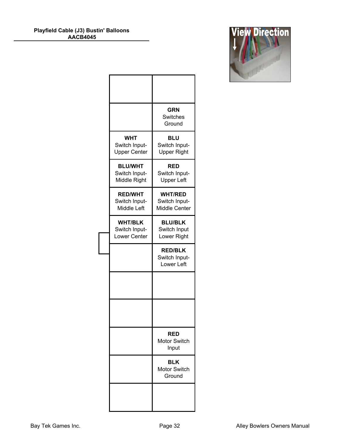| <b>View Direction</b> |  |  |
|-----------------------|--|--|
|                       |  |  |
|                       |  |  |
|                       |  |  |
|                       |  |  |

|                                                    | <b>GRN</b><br>Switches<br>Ground                  |
|----------------------------------------------------|---------------------------------------------------|
| <b>WHT</b><br>Switch Input-<br><b>Upper Center</b> | <b>BLU</b><br>Switch Input-<br><b>Upper Right</b> |
| <b>BLU/WHT</b><br>Switch Input-<br>Middle Right    | RED<br>Switch Input-<br><b>Upper Left</b>         |
| <b>RED/WHT</b><br>Switch Input-<br>Middle Left     | <b>WHT/RED</b><br>Switch Input-<br>Middle Center  |
| <b>WHT/BLK</b><br>Switch Input-<br>Lower Center    | <b>BLU/BLK</b><br>Switch Input<br>Lower Right     |
|                                                    | <b>RED/BLK</b><br>Switch Input-<br>Lower Left     |
|                                                    |                                                   |
|                                                    |                                                   |
|                                                    | <b>RED</b><br><b>Motor Switch</b><br>Input        |
|                                                    | <b>BLK</b><br><b>Motor Switch</b><br>Ground       |
|                                                    |                                                   |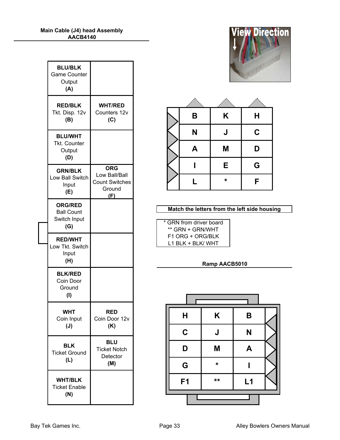| <b>BLU/BLK</b><br><b>Game Counter</b><br>Output<br>(A)     |                                                                       |
|------------------------------------------------------------|-----------------------------------------------------------------------|
| <b>RED/BLK</b><br>Tkt. Disp. 12v<br>(B)                    | <b>WHT/RED</b><br>Counters 12v<br>(C)                                 |
| <b>BLU/WHT</b><br><b>Tkt. Counter</b><br>Output<br>(D)     |                                                                       |
| <b>GRN/BLK</b><br>Low Ball Switch<br>Input<br>(E)          | <b>ORG</b><br>Low Ball/Ball<br><b>Count Switches</b><br>Ground<br>(F) |
| <b>ORG/RED</b><br><b>Ball Count</b><br>Switch Input<br>(G) |                                                                       |
| <b>RED/WHT</b><br>Low Tkt. Switch<br>Input<br>(H)          |                                                                       |
| <b>BLK/RED</b><br>Coin Door<br>Ground<br>(1)               |                                                                       |
| /HT                                                        |                                                                       |
| Coin Input<br>$(\mathsf{J})$                               | RED<br>Coin Door 12v<br>(K)                                           |
| BLK<br><b>Ticket Ground</b><br>(L)                         | <b>BLU</b><br><b>Ticket Notch</b><br>Detector<br>(M)                  |





| Match the letters from the left side housing |  |  |
|----------------------------------------------|--|--|

| * GRN from driver board |
|-------------------------|
| ** GRN + GRN/WHT        |
| F1 ORG + ORG/BLK        |
| L1 BLK + BLK/ WHT       |

#### Ramp AACB5010

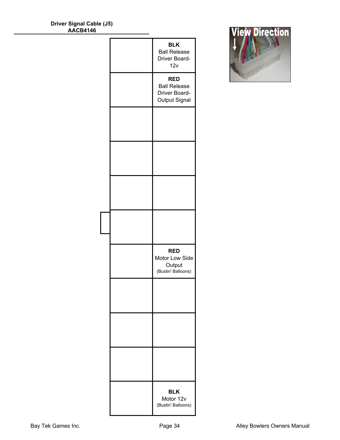| Driver Signal Cable (J5) |  |
|--------------------------|--|
| <b>AACB4146</b>          |  |

|  | <b>BLK</b><br><b>Ball Release</b><br>Driver Board-<br>12v           |
|--|---------------------------------------------------------------------|
|  | <b>RED</b><br><b>Ball Release</b><br>Driver Board-<br>Output Signal |
|  |                                                                     |
|  |                                                                     |
|  |                                                                     |
|  |                                                                     |
|  | <b>RED</b><br>Motor Low Side<br>Output<br>(Bustin' Balloons)        |
|  |                                                                     |
|  |                                                                     |
|  |                                                                     |
|  | <b>BLK</b><br>Motor 12v<br>(Bustin' Balloons)                       |

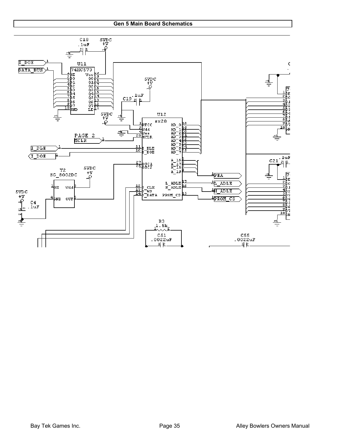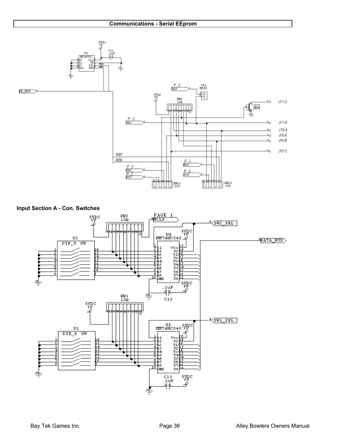



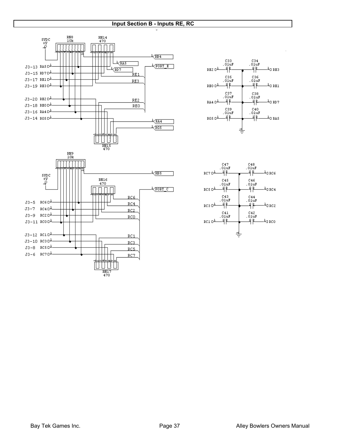#### Input Section B - Inputs RE, RC







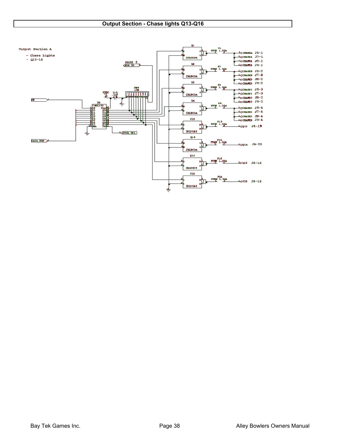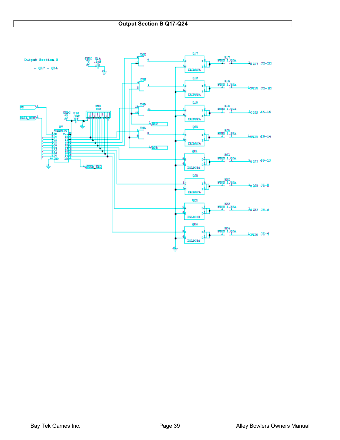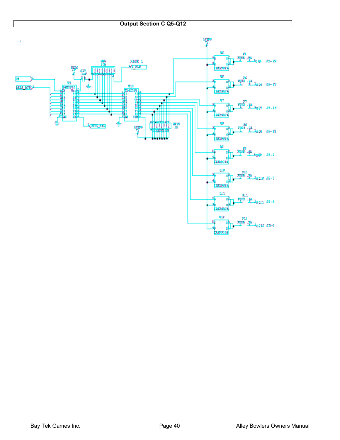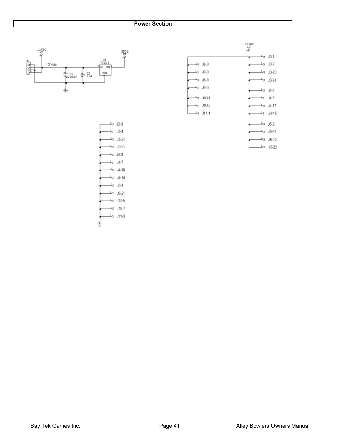#### Power Section





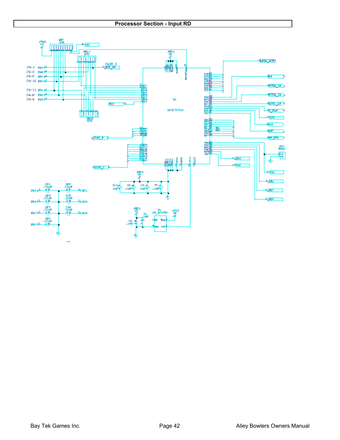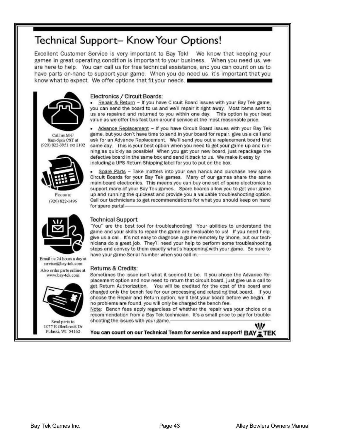# Technical Support- Know Your Options!

Excellent Customer Service is very important to Bay Tek! We know that keeping your games in great operating condition is important to your business. When you need us, we are here to help. You can call us for free technical assistance, and you can count on us to have parts on-hand to support your game. When you do need us, it's important that you know what to expect. We offer options that fit your needs. I



Call us M-F Sam-5pm CST at (920) 822-3951 ext 1102





Email us 24 hours a day at service@bay-tek.com Also order parts online at

www.bay-tek.com



Send parts to 1077 E Glenbrook Dr Pulaski, WI 54162

#### Electronics / Circuit Boards:

Repair & Return - If you have Circuit Board issues with your Bay Tek game, you can send the board to us and we'll repair it right away. Most items sent to us are repaired and returned to you within one day. This option is your best value as we offer this fast turn-around service at the most reasonable price.

Advance Replacement - If you have Circuit Board issues with your Bay Tek game, but you don't have time to send in your board for repair, give us a call and ask for an Advance Replacement. We'll send you out a replacement board that same day. This is your best option when you need to get your game up and running as quickly as possible! When you get your new board, just repackage the defective board in the same box and send it back to us. We make it easy by including a UPS Return-Shipping label for you to put on the box.

Spare Parts - Take matters into your own hands and purchase new spare Circuit Boards for your Bay Tek games. Many of our games share the same main-board electronics. This means you can buy one set of spare electronics to support many of your Bay Tek games. Spare boards allow you to get your game up and running the quickest and provide you a valuable troubleshooting option. Call our technicians to get recommendations for what you should keep on hand for spare parts!-

#### **Technical Support:**

"You" are the best tool for troubleshooting! Your abilities to understand the game and your skills to repair the game are invaluable to us! If you need help. give us a call. It's not easy to diagnose a game remotely by phone, but our technicians do a great job. They'll need your help to perform some troubleshooting steps and convey to them exactly what's happening with your game. Be sure to have your game Serial Number when you call in.-

#### Returns & Credits:

Sometimes the issue isn't what it seemed to be. If you chose the Advance Replacement option and now need to return that circuit board, just give us a call to get Return Authorization. You will be credited for the cost of the board and charged only the bench fee for our processing and retesting that board. If you choose the Repair and Return option, we'll test your board before we begin. If no problems are found, you will only be charged the bench fee.

Note: Bench fees apply regardless of whether the repair was your choice or a recommendation from a Bay Tek technician. It's a small price to pay for troubleshooting the issues with your game.-

w You can count on our Technical Team for service and support! BAY TEK

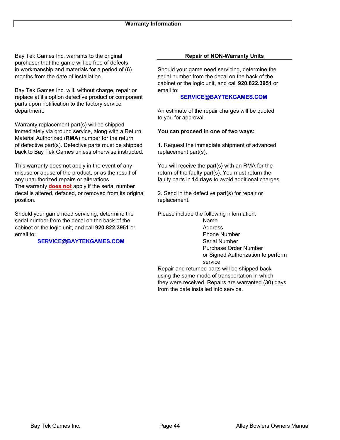Bay Tek Games Inc. warrants to the original purchaser that the game will be free of defects months from the date of installation. Serial number from the decal on the back of the

Bay Tek Games Inc. will, without charge, repair or email to: replace at it's option defective product or component parts upon notification to the factory service department. **An estimate of the repair charges will be quoted**  $\blacksquare$ 

Warranty replacement part(s) will be shipped immediately via ground service, along with a Return You can proceed in one of two ways: Material Authorized (RMA) number for the return of defective part(s). Defective parts must be shipped 1. Request the immediate shipment of advanced back to Bay Tek Games unless otherwise instructed. replacement part(s).

This warranty does not apply in the event of any You will receive the part(s) with an RMA for the misuse or abuse of the product, or as the result of return of the faulty part(s). You must return the any unauthorized repairs or alterations. **Faulty parts in 14 days to avoid additional charges.** The warranty **does not** apply if the serial number decal is altered, defaced, or removed from its original 2. Send in the defective part(s) for repair or position. The position of the contract of the contract of the contract of the contract of the contract of the contract of the contract of the contract of the contract of the contract of the contract of the contract of the

Should your game need servicing, determine the Please include the following information: serial number from the decal on the back of the Name cabinet or the logic unit, and call 920.822.3951 or Address email to: Phone Number

#### SERVICE@BAYTEKGAMES.COM

#### Repair of NON-Warranty Units

in workmanship and materials for a period of (6) Should your game need servicing, determine the cabinet or the logic unit, and call 920.822.3951 or

#### SERVICE@BAYTEKGAMES.COM

to you for approval.

Serial Number Purchase Order Number or Signed Authorization to perform service

Repair and returned parts will be shipped back using the same mode of transportation in which they were received. Repairs are warranted (30) days from the date installed into service.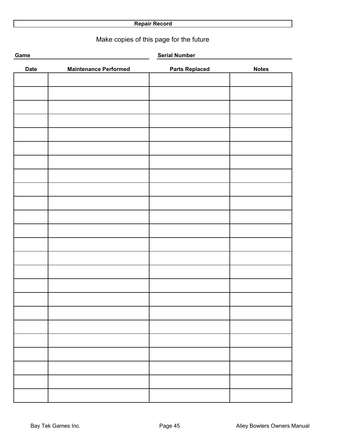### Repair Record

## Make copies of this page for the future

| Game        |                              | <b>Serial Number</b>  |              |
|-------------|------------------------------|-----------------------|--------------|
| <b>Date</b> | <b>Maintenance Performed</b> | <b>Parts Replaced</b> | <b>Notes</b> |
|             |                              |                       |              |
|             |                              |                       |              |
|             |                              |                       |              |
|             |                              |                       |              |
|             |                              |                       |              |
|             |                              |                       |              |
|             |                              |                       |              |
|             |                              |                       |              |
|             |                              |                       |              |
|             |                              |                       |              |
|             |                              |                       |              |
|             |                              |                       |              |
|             |                              |                       |              |
|             |                              |                       |              |
|             |                              |                       |              |
|             |                              |                       |              |
|             |                              |                       |              |
|             |                              |                       |              |
|             |                              |                       |              |
|             |                              |                       |              |
|             |                              |                       |              |
|             |                              |                       |              |
|             |                              |                       |              |
|             |                              |                       |              |
|             |                              |                       |              |
|             |                              |                       |              |
|             |                              |                       |              |
|             |                              |                       |              |
|             |                              |                       |              |
|             |                              |                       |              |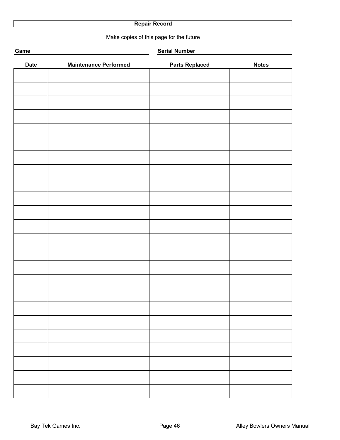#### Repair Record

Make copies of this page for the future

| Game<br><b>Serial Number</b> |                              |                       |              |
|------------------------------|------------------------------|-----------------------|--------------|
| <b>Date</b>                  | <b>Maintenance Performed</b> | <b>Parts Replaced</b> | <b>Notes</b> |
|                              |                              |                       |              |
|                              |                              |                       |              |
|                              |                              |                       |              |
|                              |                              |                       |              |
|                              |                              |                       |              |
|                              |                              |                       |              |
|                              |                              |                       |              |
|                              |                              |                       |              |
|                              |                              |                       |              |
|                              |                              |                       |              |
|                              |                              |                       |              |
|                              |                              |                       |              |
|                              |                              |                       |              |
|                              |                              |                       |              |
|                              |                              |                       |              |
|                              |                              |                       |              |
|                              |                              |                       |              |
|                              |                              |                       |              |
|                              |                              |                       |              |
|                              |                              |                       |              |
|                              |                              |                       |              |
|                              |                              |                       |              |
|                              |                              |                       |              |
|                              |                              |                       |              |
|                              |                              |                       |              |
|                              |                              |                       |              |
|                              |                              |                       |              |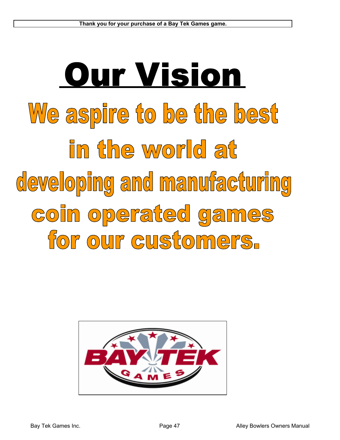# **Our Vision** We aspire to be the best in the world at developing and manufacturing coin operated games for our customers.

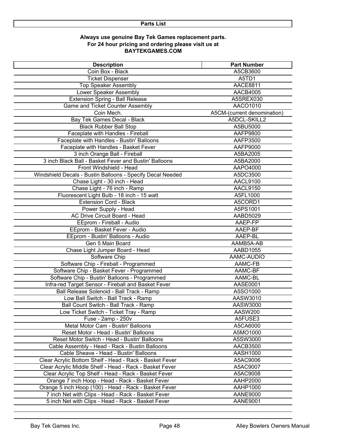#### Always use genuine Bay Tek Games replacement parts. For 24 hour pricing and ordering please visit us at BAYTEKGAMES.COM

| <b>Description</b>                                         | <b>Part Number</b>          |
|------------------------------------------------------------|-----------------------------|
| Coin Box - Black                                           | A5CB3600                    |
| <b>Ticket Dispenser</b>                                    | A5TD1                       |
| <b>Top Speaker Assembly</b>                                | <b>AACE8811</b>             |
| Lower Speaker Assembly                                     | <b>AACB4005</b>             |
| <b>Extension Spring - Ball Release</b>                     | A5SREX030                   |
| Game and Ticket Counter Assembly                           | AACO1010                    |
| Coin Mech.                                                 | A5CM-(current denomination) |
| Bay Tek Games Decal - Black                                | A5DCL-SKILL2                |
| <b>Black Rubber Ball Stop</b>                              | A5BU5000                    |
| Faceplate with Handles - Fireball                          | AAFP9800                    |
| Faceplate with Handles - Bustin' Balloons                  | AAFP3500                    |
| Faceplate with Handles - Basket Fever                      | AAFP9000                    |
| 3 inch Orange Ball - Fireball                              | A5BA2005                    |
| 3 inch Black Ball - Basket Fever and Bustin' Balloons      | A5BA2000                    |
| Front Windshield - Head                                    | AAPO4000                    |
| Windshield Decals - Bustin Balloons - Specify Decal Needed | A5DC3500                    |
| Chase Light - 30 inch - Head                               | AACL9100                    |
| Chase Light - 76 inch - Ramp                               | AACL9150                    |
| Fluorescent Light Bulb - 18 inch - 15 watt                 | A5FL1000                    |
| <b>Extension Cord - Black</b>                              | A5CORD1                     |
| Power Supply - Head                                        | A5PS1001                    |
| AC Drive Circuit Board - Head                              | AABD5029                    |
| EEprom - Fireball - Audio                                  | AAEP-FP                     |
| EEprom - Basket Fever - Audio                              | AAEP-BF                     |
| EEprom - Bustin' Balloons - Audio                          | AAEP-BL                     |
| Gen 5 Main Board                                           | AAMB5A-AB                   |
| Chase Light Jumper Board - Head                            | AABD1055                    |
| Software Chip                                              | AAMC-AUDIO                  |
| Software Chip - Fireball - Programmed                      | AAMC-FB                     |
| Software Chip - Basket Fever - Programmed                  | AAMC-BF                     |
| Software Chip - Bustin' Balloons - Programmed              | AAMC-BL                     |
| Infra-red Target Sensor - Fireball and Basket Fever        | AASE0001                    |
| Ball Release Solenoid - Ball Track - Ramp                  | A5SO1000                    |
| Low Ball Switch - Ball Track - Ramp                        | AASW3010                    |
| Ball Count Switch - Ball Track - Ramp                      | AASW3000                    |
| Low Ticket Switch - Ticket Tray - Ramp                     | AASW200                     |
| Fuse - 2amp - 250v                                         | A5FUSE3                     |
| Metal Motor Cam - Bustin' Balloons                         | A5CA6000                    |
| Reset Motor - Head - Bustin' Balloons                      | A5MO1000                    |
| Reset Motor Switch - Head - Bustin' Balloons               | A5SW3000                    |
| Cable Assembly - Head - Rack - Bustin Balloons             | AACB3500                    |
| Cable Sheave - Head - Bustin' Balloons                     | AASH1000                    |
| Clear Acrylic Bottom Shelf - Head - Rack - Basket Fever    | A5AC9006                    |
| Clear Acrylic Middle Shelf - Head - Rack - Basket Fever    | A5AC9007                    |
| Clear Acrylic Top Shelf - Head - Rack - Basket Fever       | A5AC9008                    |
| Orange 7 inch Hoop - Head - Rack - Basket Fever            | <b>AAHP2000</b>             |
| Orange 5 inch Hoop (100) - Head - Rack - Basket Fever      | AAHP1000                    |
| 7 inch Net with Clips - Head - Rack - Basket Fever         | <b>AANE9000</b>             |
| 5 inch Net with Clips - Head - Rack - Basket Fever         | <b>AANE9001</b>             |
|                                                            |                             |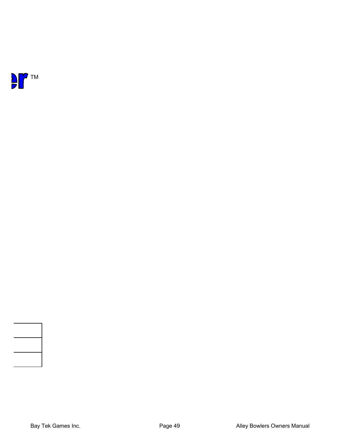



 $\Box$